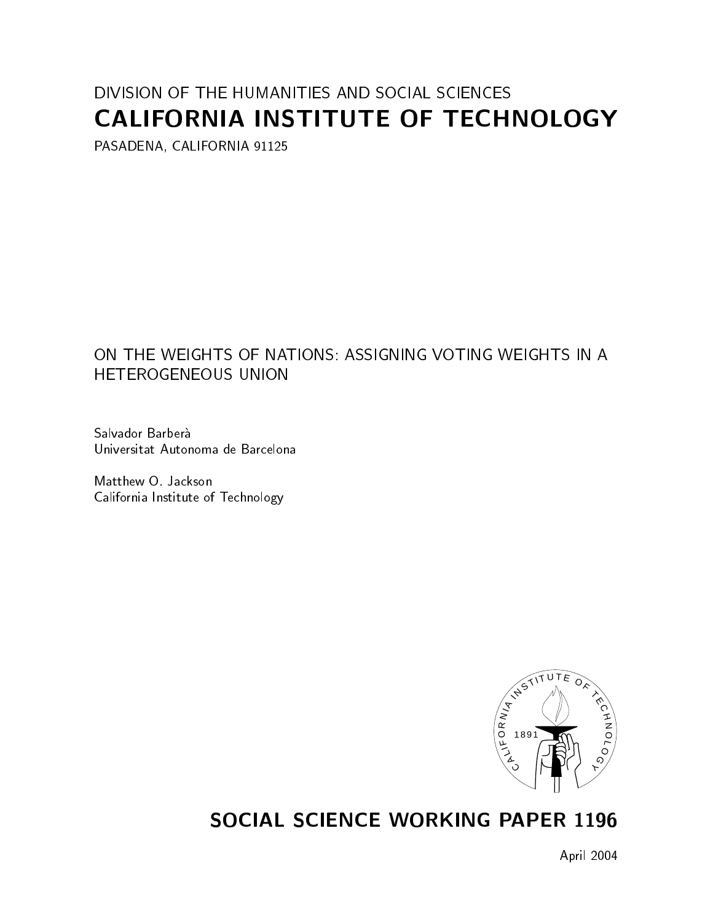# DIVISION OF THE HUMANITIES AND SOCIAL SCIENCES CALIFORNIA INSTITUTE OF TECHNOLOGY

PASADENA, CALIFORNIA 91125

### ON THE WEIGHTS OF NATIONS: ASSIGNING VOTING WEIGHTS IN A **HETEROGENEOUS UNION**

Salvador Barberà Universitat Autonoma de Barcelona

Matthew O. Jackson California Institute of Technology



# **SOCIAL SCIENCE WORKING PAPER 1196**

April 2004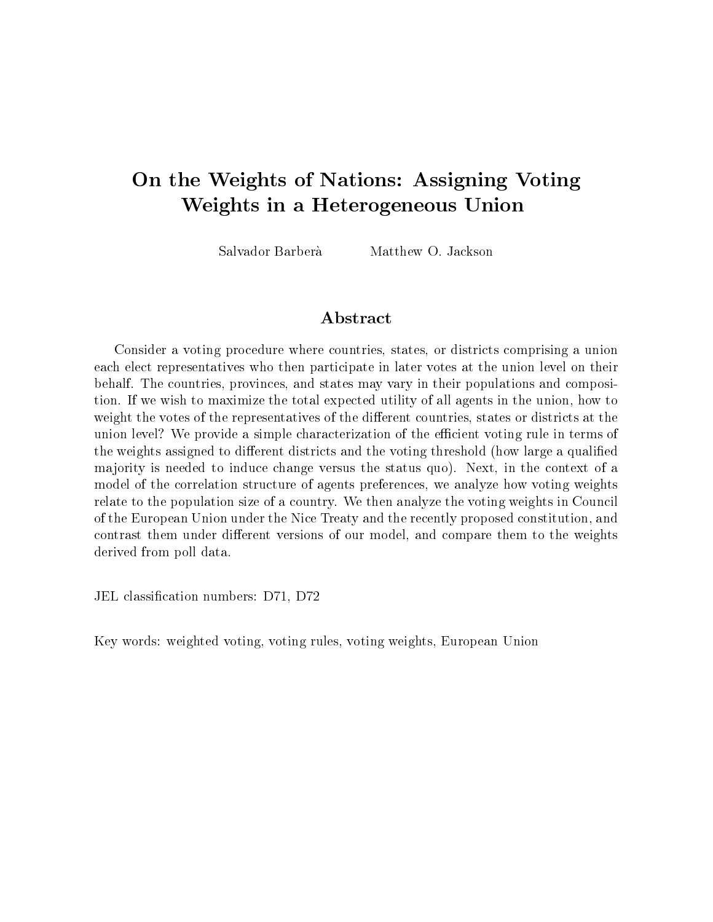# On the Weights of Nations: Assigning Voting Weights in a Heterogeneous Union

Salvador Barberà Matthew O. Jackson

### Abstract

Consider a voting procedure where countries, states, or districts comprising a union each elect representatives who then participate in later votes at the union level on their behalf. The countries, provinces, and states may vary in their populations and composition. If we wish to maximize the total expected utility of all agents in the union, how to weight the votes of the representatives of the different countries, states or districts at the union level? We provide a simple characterization of the efficient voting rule in terms of the weights assigned to different districts and the voting threshold (how large a qualified ma jority is needed to induce change versus the status quo). Next, in the context of a model of the correlation structure of agents preferences, we analyze how voting weights relate to the population size of a country. We then analyze the voting weights in Council of the European Union under the Nice Treaty and the recently proposed constitution, and contrast them under different versions of our model, and compare them to the weights derived from poll data.

JEL classication numbers: D71, D72

Key words: weighted voting, voting rules, voting weights, European Union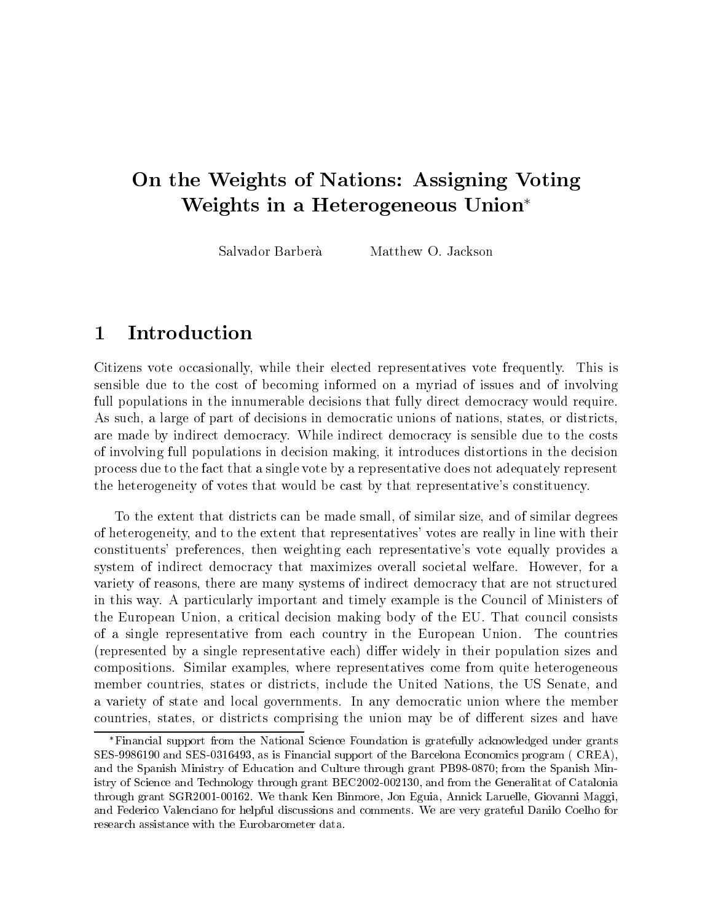# On the Weights of Nations: Assigning Voting Weights in a Heterogeneous Union

Salvador Barberà Matthew O. Jackson

#### **Introduction** 1

Citizens vote occasionally, while their elected representatives vote frequently. This is sensible due to the cost of becoming informed on a myriad of issues and of involving full populations in the innumerable decisions that fully direct democracy would require. As such, a large of part of decisions in democratic unions of nations, states, or districts, are made by indirect democracy. While indirect democracy is sensible due to the costs of involving full populations in decision making, it introduces distortions in the decision process due to the fact that a single vote by a representative does not adequately represent the heterogeneity of votes that would be cast by that representative's constituency.

To the extent that districts can be made small, of similar size, and of similar degrees of heterogeneity, and to the extent that representatives' votes are really in line with their constituents' preferences, then weighting each representative's vote equally provides a system of indirect democracy that maximizes overall societal welfare. However, for a variety of reasons, there are many systems of indirect democracy that are not structured in this way. A particularly important and timely example is the Council of Ministers of the European Union, a critical decision making body of the EU. That council consists of a single representative from each country in the European Union. The countries (represented by a single representative each) differ widely in their population sizes and compositions. Similar examples, where representatives come from quite heterogeneous member countries, states or districts, include the United Nations, the US Senate, and a variety of state and local governments. In any democratic union where the member countries, states, or districts comprising the union may be of different sizes and have

Financial support from the National Science Foundation is gratefully acknowledged under grants SES-9986190 and SES-0316493, as is Financial support of the Barcelona Economics program ( CREA), and the Spanish Ministry of Education and Culture through grant PB98-0870; from the Spanish Ministry of Science and Technology through grant BEC2002-002130, and from the Generalitat of Catalonia through grant SGR2001-00162. We thank Ken Binmore, Jon Eguia, Annick Laruelle, Giovanni Maggi, and Federico Valenciano for helpful discussions and comments. We are very grateful Danilo Coelho for research assistance with the Eurobarometer data.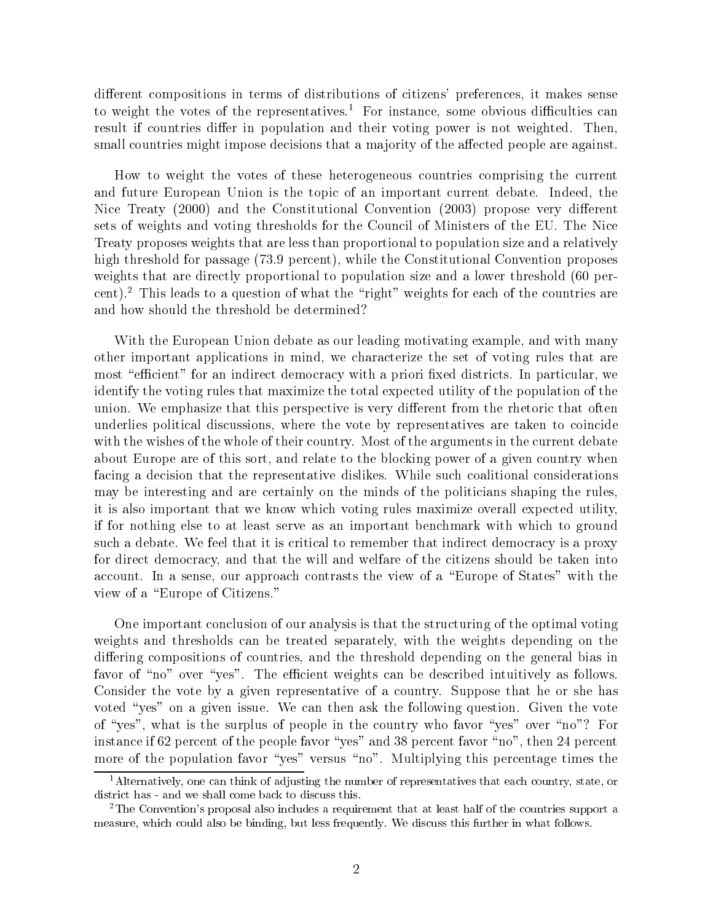different compositions in terms of distributions of citizens' preferences, it makes sense to weight the votes of the representatives.<sup>1</sup> For instance, some obvious difficulties can result if countries differ in population and their voting power is not weighted. Then, small countries might impose decisions that a majority of the affected people are against.

How to weight the votes of these heterogeneous countries comprising the current and future European Union is the topic of an important current debate. Indeed, the Nice Treaty (2000) and the Constitutional Convention (2003) propose very different sets of weights and voting thresholds for the Council of Ministers of the EU. The Nice Treaty proposes weights that are less than proportional to population size and a relatively high threshold for passage (73.9 percent), while the Constitutional Convention proposes weights that are directly proportional to population size and a lower threshold (60 percent).<sup>2</sup> This leads to a question of what the "right" weights for each of the countries are and how should the threshold be determined?

With the European Union debate as our leading motivating example, and with many other important applications in mind, we characterize the set of voting rules that are most "efficient" for an indirect democracy with a priori fixed districts. In particular, we identify the voting rules that maximize the total expected utility of the population of the union. We emphasize that this perspective is very different from the rhetoric that often underlies political discussions, where the vote by representatives are taken to coincide with the wishes of the whole of their country. Most of the arguments in the current debate about Europe are of this sort, and relate to the blocking power of a given country when facing a decision that the representative dislikes. While such coalitional considerations may be interesting and are certainly on the minds of the politicians shaping the rules, it is also important that we know which voting rules maximize overall expected utility, if for nothing else to at least serve as an important benchmark with which to ground such a debate. We feel that it is critical to remember that indirect democracy is a proxy for direct democracy, and that the will and welfare of the citizens should be taken into account. In a sense, our approach contrasts the view of a \Europe of States" with the view of a "Europe of Citizens."

One important conclusion of our analysis is that the structuring of the optimal voting weights and thresholds can be treated separately, with the weights depending on the differing compositions of countries, and the threshold depending on the general bias in favor of "no" over "yes". The efficient weights can be described intuitively as follows. Consider the vote by a given representative of a country. Suppose that he or she has voted "yes" on a given issue. We can then ask the following question. Given the vote of "yes", what is the surplus of people in the country who favor "yes" over "no"? For instance if 62 percent of the people favor "yes" and 38 percent favor "no", then 24 percent more of the population favor "yes" versus "no". Multiplying this percentage times the

<sup>&</sup>lt;sup>1</sup>Alternatively, one can think of adjusting the number of representatives that each country, state, or district has - and we shall come back to discuss this.

<sup>2</sup>The Convention's proposal also includes a requirement that at least half of the countries support a measure, which could also be binding, but less frequently. We discuss this further in what follows.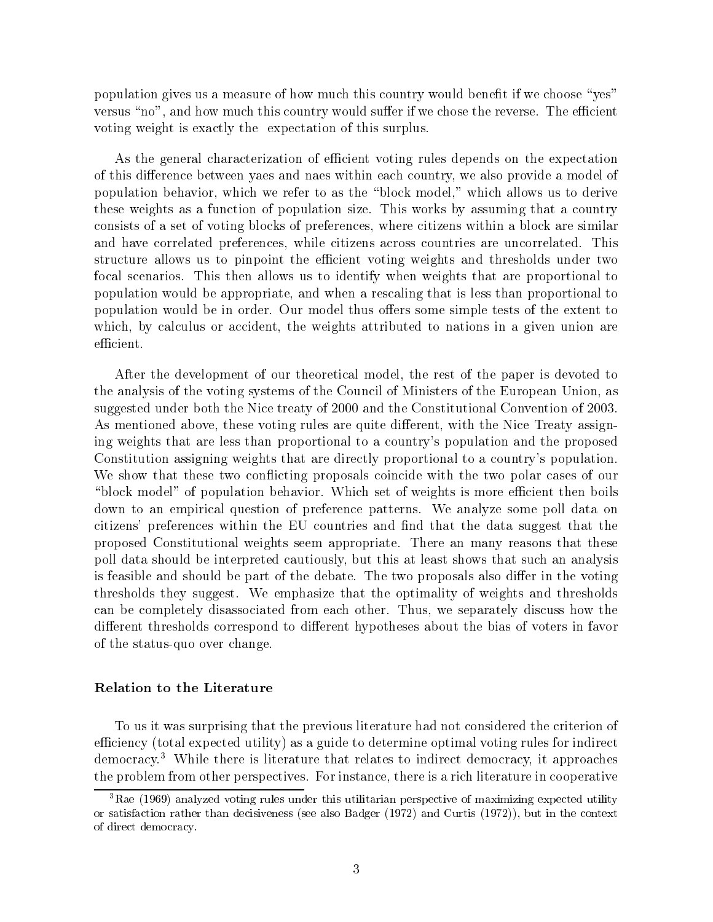population gives us a measure of how much this country would benefit if we choose "yes" versus "no", and how much this country would suffer if we chose the reverse. The efficient voting weight is exactly the expectation of this surplus.

As the general characterization of efficient voting rules depends on the expectation of this difference between yaes and naes within each country, we also provide a model of population behavior, which we refer to as the \block model," which allows us to derive these weights as a function of population size. This works by assuming that a country consists of a set of voting blocks of preferences, where citizens within a block are similar and have correlated preferences, while citizens across countries are uncorrelated. This structure allows us to pinpoint the efficient voting weights and thresholds under two focal scenarios. This then allows us to identify when weights that are proportional to population would be appropriate, and when a rescaling that is less than proportional to population would be in order. Our model thus offers some simple tests of the extent to which, by calculus or accident, the weights attributed to nations in a given union are efficient.

After the development of our theoretical model, the rest of the paper is devoted to the analysis of the voting systems of the Council of Ministers of the European Union, as suggested under both the Nice treaty of 2000 and the Constitutional Convention of 2003. As mentioned above, these voting rules are quite different, with the Nice Treaty assigning weights that are less than proportional to a country's population and the proposed Constitution assigning weights that are directly proportional to a country's population. We show that these two conflicting proposals coincide with the two polar cases of our "block model" of population behavior. Which set of weights is more efficient then boils down to an empirical question of preference patterns. We analyze some poll data on citizens' preferences within the EU countries and find that the data suggest that the proposed Constitutional weights seem appropriate. There an many reasons that these poll data should be interpreted cautiously, but this at least shows that such an analysis is feasible and should be part of the debate. The two proposals also differ in the voting thresholds they suggest. We emphasize that the optimality of weights and thresholds can be completely disassociated from each other. Thus, we separately discuss how the different thresholds correspond to different hypotheses about the bias of voters in favor of the status-quo over change.

#### Relation to the Literature

To us it was surprising that the previous literature had not considered the criterion of efficiency (total expected utility) as a guide to determine optimal voting rules for indirect democracy.3 While there is literature that relates to indirect democracy, it approaches the problem from other perspectives. For instance, there is a rich literature in cooperative

<sup>&</sup>lt;sup>3</sup>Rae (1969) analyzed voting rules under this utilitarian perspective of maximizing expected utility or satisfaction rather than decisiveness (see also Badger (1972) and Curtis (1972)), but in the context of direct democracy.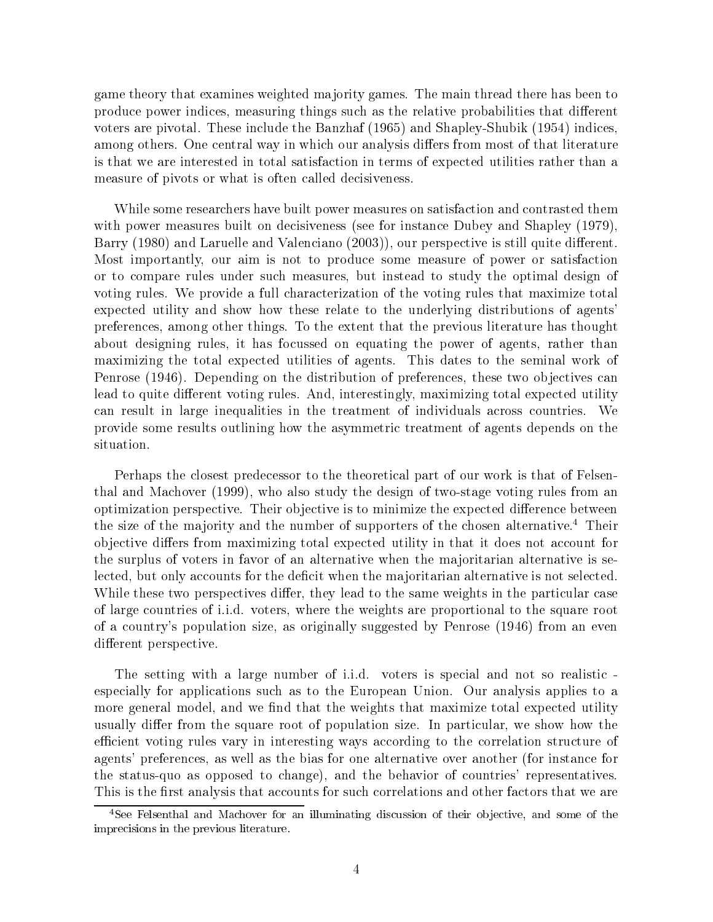game theory that examines weighted ma jority games. The main thread there has been to produce power indices, measuring things such as the relative probabilities that different voters are pivotal. These include the Banzhaf (1965) and Shapley-Shubik (1954) indices, among others. One central way in which our analysis differs from most of that literature is that we are interested in total satisfaction in terms of expected utilities rather than a measure of pivots or what is often called decisiveness.

While some researchers have built power measures on satisfaction and contrasted them with power measures built on decisiveness (see for instance Dubey and Shapley (1979), Barry (1980) and Laruelle and Valenciano (2003)), our perspective is still quite different. Most importantly, our aim is not to produce some measure of power or satisfaction or to compare rules under such measures, but instead to study the optimal design of voting rules. We provide a full characterization of the voting rules that maximize total expected utility and show how these relate to the underlying distributions of agents' preferences, among other things. To the extent that the previous literature has thought about designing rules, it has focussed on equating the power of agents, rather than maximizing the total expected utilities of agents. This dates to the seminal work of Penrose (1946). Depending on the distribution of preferences, these two objectives can lead to quite different voting rules. And, interestingly, maximizing total expected utility can result in large inequalities in the treatment of individuals across countries. We provide some results outlining how the asymmetric treatment of agents depends on the situation.

Perhaps the closest predecessor to the theoretical part of our work is that of Felsenthal and Machover (1999), who also study the design of two-stage voting rules from an optimization perspective. Their objective is to minimize the expected difference between the size of the majority and the number of supporters of the chosen alternative.<sup>4</sup> Their objective differs from maximizing total expected utility in that it does not account for the surplus of voters in favor of an alternative when the ma joritarian alternative is selected, but only accounts for the deficit when the majoritarian alternative is not selected. While these two perspectives differ, they lead to the same weights in the particular case of large countries of i.i.d. voters, where the weights are proportional to the square root of a country's population size, as originally suggested by Penrose (1946) from an even different perspective.

The setting with a large number of i.i.d. voters is special and not so realistic especially for applications such as to the European Union. Our analysis applies to a more general model, and we find that the weights that maximize total expected utility usually differ from the square root of population size. In particular, we show how the efficient voting rules vary in interesting ways according to the correlation structure of agents' preferences, as well as the bias for one alternative over another (for instance for the status-quo as opposed to change), and the behavior of countries' representatives. This is the first analysis that accounts for such correlations and other factors that we are

<sup>&</sup>lt;sup>4</sup>See Felsenthal and Machover for an illuminating discussion of their objective, and some of the imprecisions in the previous literature.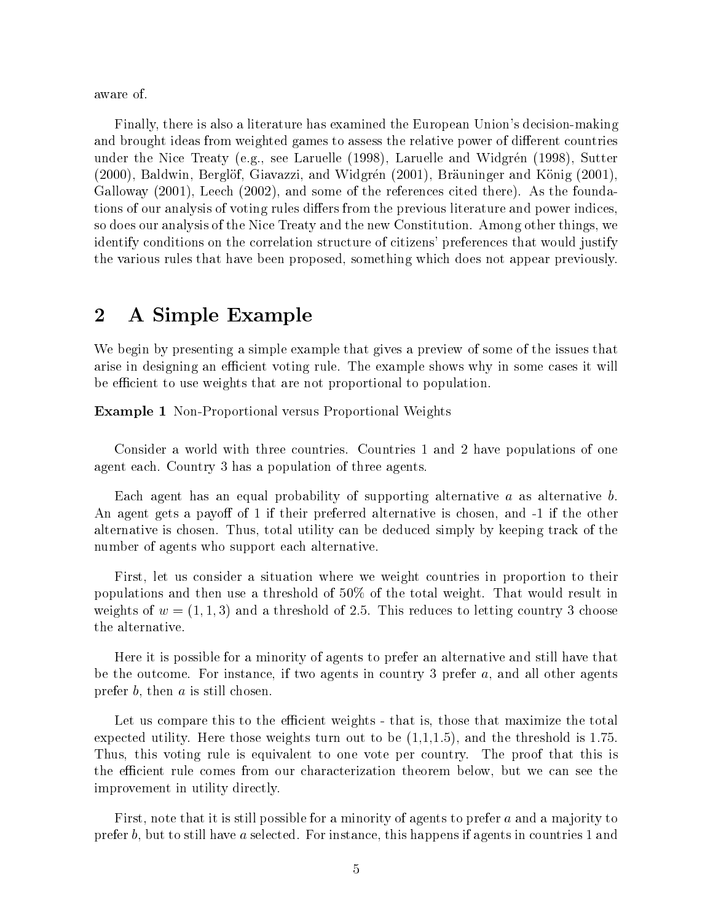aware of.

Finally, there is also a literature has examined the European Union's decision-making and brought ideas from weighted games to assess the relative power of different countries under the Nice Treaty (e.g., see Laruelle (1998), Laruelle and Widgren (1998), Sutter (2000), Baldwin, Berglöf, Giavazzi, and Widgrén (2001), Bräuninger and König (2001), Galloway (2001), Leech (2002), and some of the references cited there). As the foundations of our analysis of voting rules differs from the previous literature and power indices, so does our analysis of the Nice Treaty and the new Constitution. Among other things, we identify conditions on the correlation structure of citizens' preferences that would justify the various rules that have been proposed, something which does not appear previously.

### 2 A Simple Example

We begin by presenting a simple example that gives a preview of some of the issues that arise in designing an efficient voting rule. The example shows why in some cases it will be efficient to use weights that are not proportional to population.

Example 1 Non-Proportional versus Proportional Weights

Consider a world with three countries. Countries 1 and 2 have populations of one agent each. Country 3 has a population of three agents.

Each agent has an equal probability of supporting alternative  $a$  as alternative  $b$ .<br>An agent gets a payoff of 1 if their preferred alternative is chosen, and -1 if the other alternative is chosen. Thus, total utility can be deduced simply by keeping track of the number of agents who support each alternative.

First, let us consider a situation where we weight countries in proportion to their populations and then use a threshold of 50% of the total weight. That would result in weights of  $w = (1, 1, 3)$  and a threshold of 2.5. This reduces to letting country 3 choose the alternative.

Here it is possible for a minority of agents to prefer an alternative and still have that be the outcome. For instance, if two agents in country 3 prefer  $a$ , and all other agents prefer  $b$ , then  $a$  is still chosen.

Let us compare this to the efficient weights - that is, those that maximize the total expected utility. Here those weights turn out to be  $(1,1,1.5)$ , and the threshold is 1.75. Thus, this voting rule is equivalent to one vote per country. The proof that this is the efficient rule comes from our characterization theorem below, but we can see the improvement in utility directly.

First, note that it is still possible for a minority of agents to prefer a and a majority to prefer b, but to still have <sup>a</sup> selected. For instance, this happens if agents in countries 1 and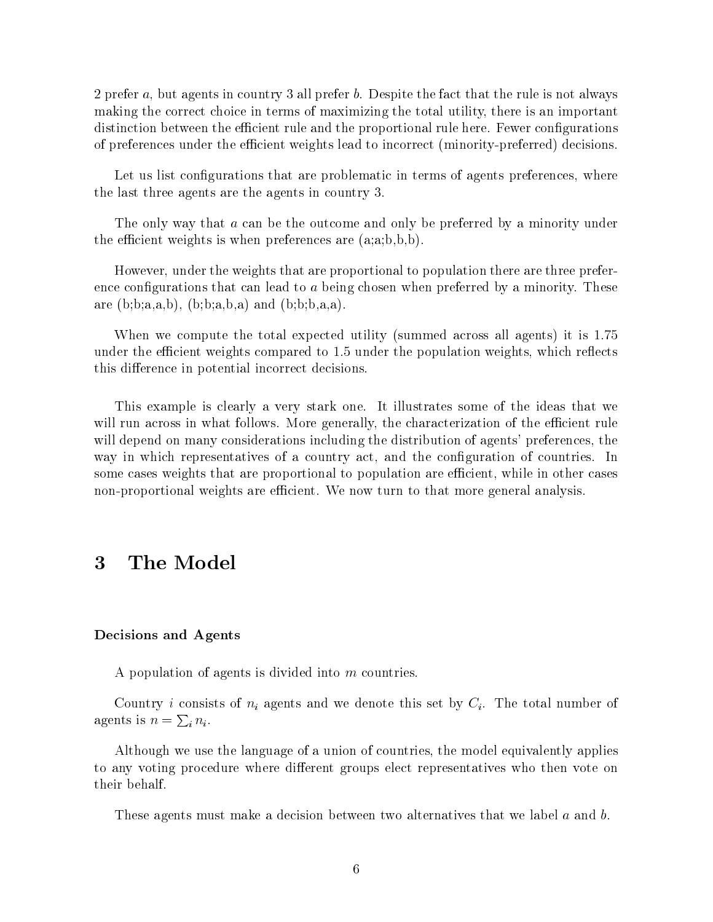2 prefer a, but agents in country 3 all prefer b. Despite the fact that the rule is not always making the correct choice in terms of maximizing the total utility, there is an important distinction between the efficient rule and the proportional rule here. Fewer configurations of preferences under the efficient weights lead to incorrect (minority-preferred) decisions.

Let us list configurations that are problematic in terms of agents preferences, where the last three agents are the agents in country 3.

The only way that a can be the outcome and only be preferred by a minority under the efficient weights is when preferences are  $(a,a;b,b,b)$ .

However, under the weights that are proportional to population there are three preference configurations that can lead to  $a$  being chosen when preferred by a minority. These are  $(b; b; a, a, b)$ ,  $(b; b; a, b, a)$  and  $(b; b; b, a, a)$ .

When we compute the total expected utility (summed across all agents) it is 1.75 under the efficient weights compared to 1.5 under the population weights, which reflects this difference in potential incorrect decisions.

This example is clearly a very stark one. It illustrates some of the ideas that we will run across in what follows. More generally, the characterization of the efficient rule will depend on many considerations including the distribution of agents' preferences, the way in which representatives of a country act, and the conguration of countries. In some cases weights that are proportional to population are efficient, while in other cases non-proportional weights are efficient. We now turn to that more general analysis.

#### Decisions and Agents

A population of agents is divided into <sup>m</sup> countries.

Country *i* consists of  $n_i$  agents and we denote this set by  $C_i$ . The total number of agents is  $n = \sum_i n_i$ .

Although we use the language of a union of countries, the model equivalently applies to any voting procedure where different groups elect representatives who then vote on their behalf.

These agents must make a decision between two alternatives that we label a and b.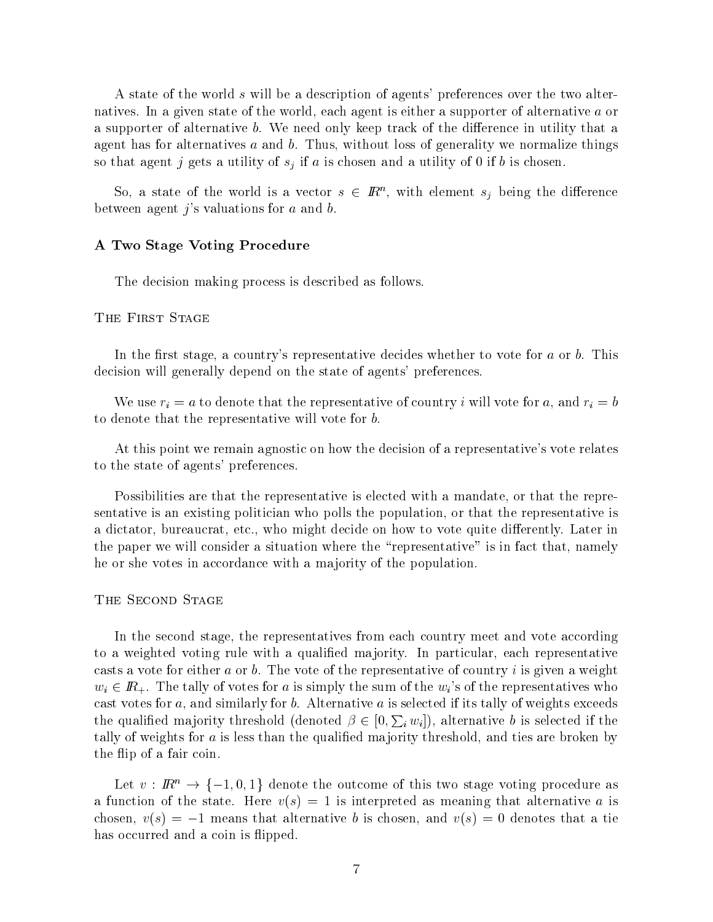A state of the world <sup>s</sup> will be a description of agents' preferences over the two alternatives. In a given state of the world, each agent is either a supporter of alternative <sup>a</sup> or a supporter of alternative b. We need only keep track of the difference in utility that a agent has for alternatives a and b. Thus, without loss of generality we normalize things so that agent j gets a utility of  $s_j$  if a is chosen and a utility of 0 if b is chosen.

So, a state of the world is a vector  $s \in \mathbb{R}^n$ , with element  $s_i$  being the difference between agent  $j$ 's valuations for  $a$  and  $b$ .

#### A Two Stage Voting Procedure

The decision making process is described as follows.

The First State State State State State State State State State State State State State State State State State State State State State State State State State State State State State State State State State State State St

In the first stage, a country's representative decides whether to vote for  $a$  or  $b$ . This decision will generally depend on the state of agents' preferences.

We use  $r_i = a$  to denote that the representative of country i will vote for a, and  $r_i = b$ to denote that the representative will vote for b.

At this point we remain agnostic on how the decision of a representative's vote relates to the state of agents' preferences.

Possibilities are that the representative is elected with a mandate, or that the representative is an existing politician who polls the population, or that the representative is a dictator, bureaucrat, etc., who might decide on how to vote quite differently. Later in the paper we will consider a situation where the "representative" is in fact that, namely he or she votes in accordance with a majority of the population.

 $T$  and  $T$  second state  $T$ 

In the second stage, the representatives from each country meet and vote according to a weighted voting rule with a qualified majority. In particular, each representative casts a vote for either a or b. The vote of the representative of country i is given a weight  $w_i \in \mathbb{R}_+$ . The tally of votes for a is simply the sum of the  $w_i$ 's of the representatives who cast votes for  $a$ , and similarly for  $b$ . Alternative  $a$  is selected if its tally of weights exceeds the qualified majority threshold (denoted  $\beta \in [0, \sum_i w_i]$ ), alternative b is selected if the tally of weights for  $a$  is less than the qualified majority threshold, and ties are broken by the flip of a fair coin.

Let  $v : \mathbb{R}^n \to \{-1,0,1\}$  denote the outcome of this two stage voting procedure as a function of the state. Here  $v(s) = 1$  is interpreted as meaning that alternative a is chosen,  $v(s) = -1$  means that alternative b is chosen, and  $v(s) = 0$  denotes that a tie has occurred and a coin is flipped.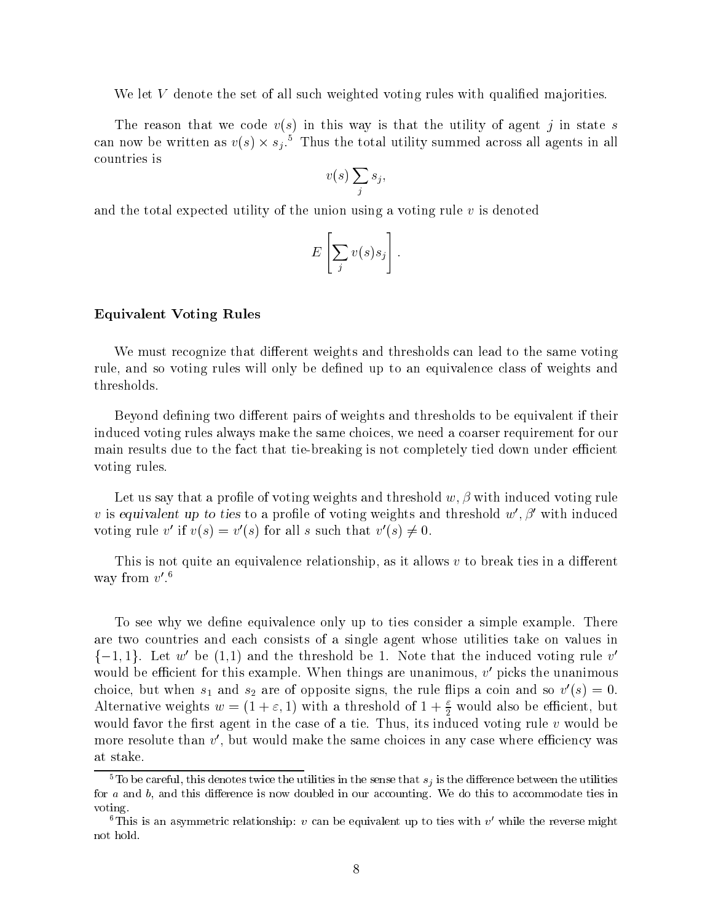We let  $V$  denote the set of all such weighted voting rules with qualified majorities.

The reason that we code  $v(s)$  in this way is that the utility of agent j in state s can now be written as  $v(s) \times s_i$ . Thus the total utility summed across all agents in all countries is

$$
v(s)\sum_j s_j,
$$

and the total expected utility of the union using a voting rule  $v$  is denoted

$$
E\left[\sum_j v(s)s_j\right].
$$

#### Equivalent Voting Rules

We must recognize that different weights and thresholds can lead to the same voting rule, and so voting rules will only be defined up to an equivalence class of weights and thresholds.

Beyond defining two different pairs of weights and thresholds to be equivalent if their induced voting rules always make the same choices, we need a coarser requirement for our main results due to the fact that tie-breaking is not completely tied down under efficient voting rules.

Let us say that a profile of voting weights and threshold  $w, \beta$  with induced voting rule v is equivalent up to ties to a profile of voting weights and threshold  $w', \beta'$  with induced voting rule v' if  $v(s) = v'(s)$  for all s such that  $v'(s) \neq 0$ .

This is not quite an equivalence relationship, as it allows  $v$  to break ties in a different way from  $v$ .

To see why we define equivalence only up to ties consider a simple example. There are two countries and each consists of a single agent whose utilities take on values in  $\{-1,1\}$ . Let  $w'$  be  $(1,1)$  and the threshold be 1. Note that the induced voting rule  $v'$ would be efficient for this example. When things are unanimous,  $v$  picks the unanimous choice, but when  $s_1$  and  $s_2$  are of opposite signs, the rule hips a coin and so  $v(s) = 0$ . Alternative weights  $w = (1 + \varepsilon, 1)$  with a threshold of  $1 + \frac{\varepsilon}{2}$  would also be efficient, but would favor the first agent in the case of a tie. Thus, its induced voting rule  $v$  would be more resolute than  $v$  , but would make the same choices in any case where emclency was  $\,$ at stake.

<sup>&</sup>lt;sup>5</sup>To be careful, this denotes twice the utilities in the sense that  $s_j$  is the difference between the utilities for  $a$  and  $b$ , and this difference is now doubled in our accounting. We do this to accommodate ties in voting.

This is an asymmetric relationship:  $v$  can be equivalent up to ties with  $v$  while the reverse might not hold.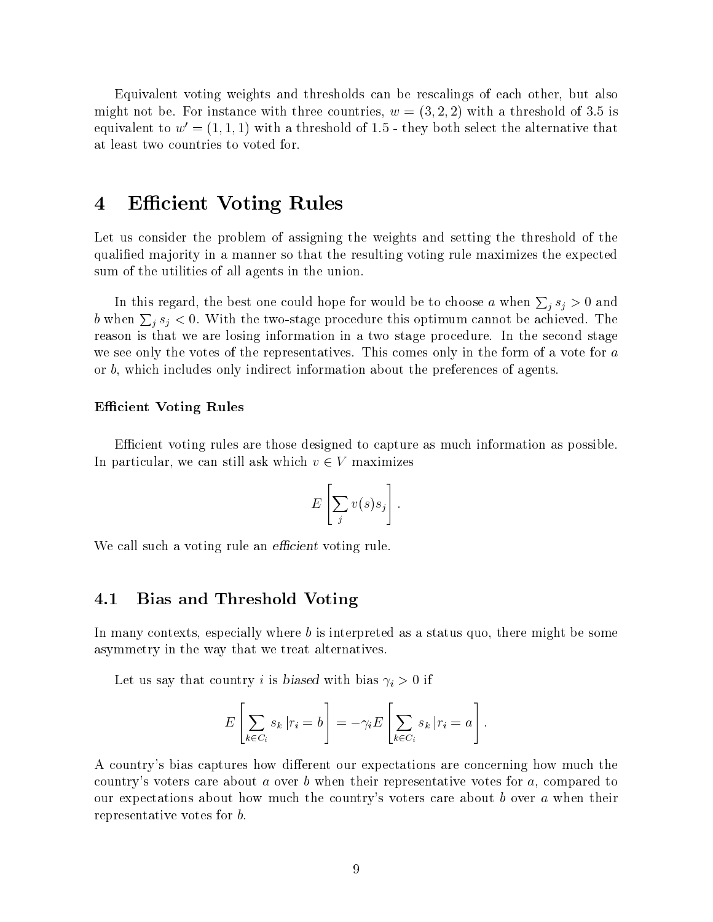Equivalent voting weights and thresholds can be rescalings of each other, but also might not be. For instance with three countries,  $w = (3, 2, 2)$  with a threshold of 3.5 is equivalent to  $w' = (1, 1, 1)$  with a threshold of 1.5 - they both select the alternative that at least two countries to voted for.

#### **Efficient Voting Rules** 4

Let us consider the problem of assigning the weights and setting the threshold of the qualied ma jority in a manner so that the resulting voting rule maximizes the expected sum of the utilities of all agents in the union.

In this regard, the best one could hope for would be to choose a when  $\sum_i s_i > 0$  and b when  $\sum_i s_i < 0$ . With the two-stage procedure this optimum cannot be achieved. The reason is that we are losing information in a two stage procedure. In the second stage we see only the votes of the representatives. This comes only in the form of a vote for a or b, which includes only indirect information about the preferences of agents.

#### **Efficient Voting Rules**

Ecient voting rules are those designed to capture as much information as possible. In particular, we can still ask which  $v \in V$  maximizes

$$
E\left[\sum_j v(s)s_j\right].
$$

We call such a voting rule an *efficient* voting rule.

#### 4.1 Bias and Threshold Voting

In many contexts, especially where b is interpreted as a status quo, there might be some asymmetry in the way that we treat alternatives.

Let us say that country *i* is biased with bias  $\gamma_i > 0$  if

$$
E\left[\sum_{k \in C_i} s_k | r_i = b\right] = -\gamma_i E\left[\sum_{k \in C_i} s_k | r_i = a\right].
$$

A country's bias captures how different our expectations are concerning how much the country's voters care about a over b when their representative votes for  $a$ , compared to our expectations about how much the country's voters care about b over a when their representative votes for b.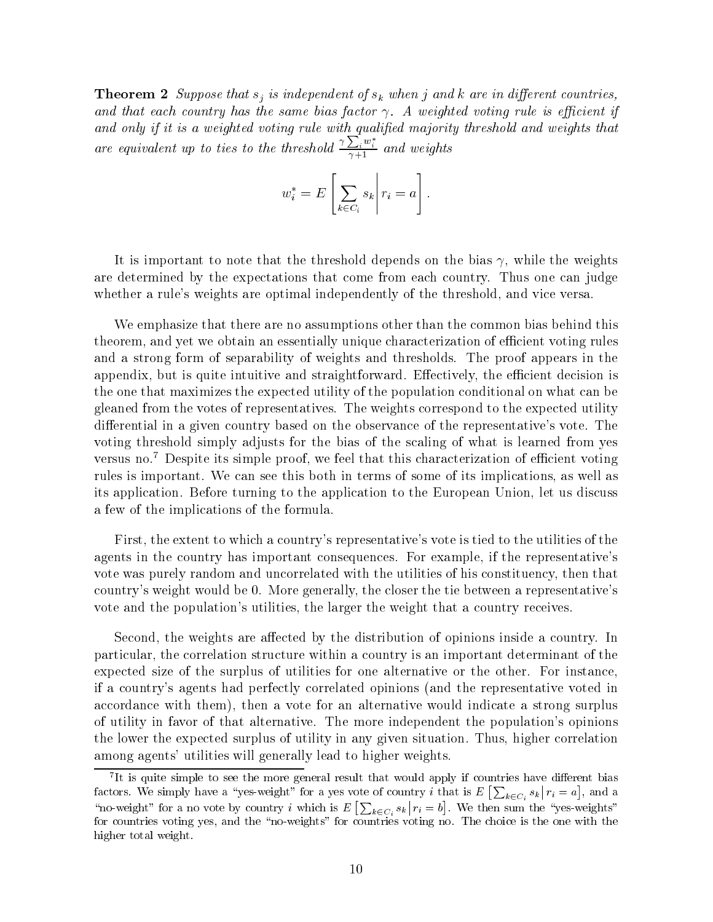**Theorem 2** Suppose that  $s_j$  is independent of  $s_k$  when j and k are in different countries, and that each country has the same bias factor  $\gamma$ . A weighted voting rule is efficient if and only if it is a weighted voting rule with qualified majority threshold and weights that are equivalent up to ties to the threshold  $\frac{\gamma \sum_i w_i^*}{\gamma + 1}$  and weights

$$
w_i^* = E\left[\sum_{k \in C_i} s_k \middle| r_i = a\right].
$$

It is important to note that the threshold depends on the bias  $\gamma$ , while the weights are determined by the expectations that come from each country. Thus one can judge whether a rule's weights are optimal independently of the threshold, and vice versa.

We emphasize that there are no assumptions other than the common bias behind this theorem, and yet we obtain an essentially unique characterization of efficient voting rules and a strong form of separability of weights and thresholds. The proof appears in the appendix, but is quite intuitive and straightforward. Effectively, the efficient decision is the one that maximizes the expected utility of the population conditional on what can be gleaned from the votes of representatives. The weights correspond to the expected utility differential in a given country based on the observance of the representative's vote. The voting threshold simply adjusts for the bias of the scaling of what is learned from yes versus no.<sup>7</sup> Despite its simple proof, we feel that this characterization of efficient voting rules is important. We can see this both in terms of some of its implications, as well as its application. Before turning to the application to the European Union, let us discuss a few of the implications of the formula.

First, the extent to which a country's representative's vote is tied to the utilities of the agents in the country has important consequences. For example, if the representative's vote was purely random and uncorrelated with the utilities of his constituency, then that country's weight would be 0. More generally, the closer the tie between a representative's vote and the population's utilities, the larger the weight that a country receives.

Second, the weights are affected by the distribution of opinions inside a country. In particular, the correlation structure within a country is an important determinant of the expected size of the surplus of utilities for one alternative or the other. For instance, if a country's agents had perfectly correlated opinions (and the representative voted in accordance with them), then a vote for an alternative would indicate a strong surplus of utility in favor of that alternative. The more independent the population's opinions the lower the expected surplus of utility in any given situation. Thus, higher correlation among agents' utilities will generally lead to higher weights.

<sup>7</sup> It is quite simple to see the more general result that would apply if countries have dierent bias factors. We simply have a "yes-weight" for a yes vote of country i that is  $E\left[\,\sum_{k\in C_i} s_k\,\big|\, r_i = a\right],$  a  $r_i = a$ , and a , and an and an analysis of the state  $\sim$ "no-weight" for a no vote by country i which is  $E\left[\sum_{k\in C_i} s_k | r_i = b\right]$ .  $r_i = b$ . We then . We then such such the sum the  $\mathcal{A}$  such the  $\mathcal{A}$ for countries voting yes, and the \no-weights" for countries voting no. The choice is the one with the higher total weight.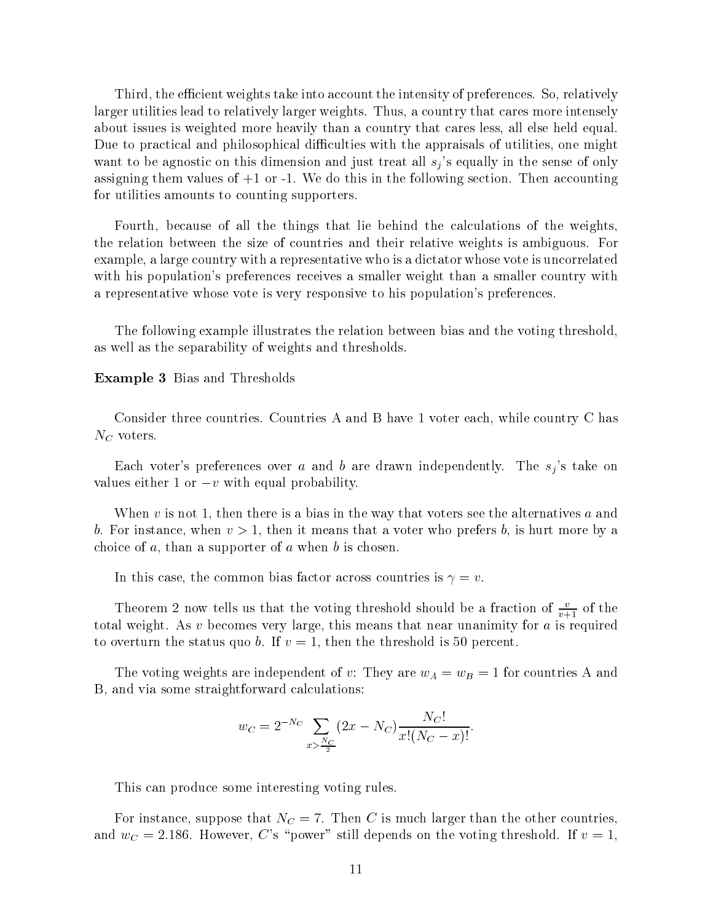Third, the efficient weights take into account the intensity of preferences. So, relatively larger utilities lead to relatively larger weights. Thus, a country that cares more intensely about issues is weighted more heavily than a country that cares less, all else held equal. Due to practical and philosophical difficulties with the appraisals of utilities, one might want to be agnostic on this dimension and just treat all  $s_j$ 's equally in the sense of only assigning them values of +1 or -1. We do this in the following section. Then accounting for utilities amounts to counting supporters.

Fourth, because of all the things that lie behind the calculations of the weights, the relation between the size of countries and their relative weights is ambiguous. For example, a large country with a representative who is a dictator whose vote is uncorrelated with his population's preferences receives a smaller weight than a smaller country with a representative whose vote is very responsive to his population's preferences.

The following example illustrates the relation between bias and the voting threshold, as well as the separability of weights and thresholds.

#### Example 3 Bias and Thresholds

Consider three countries. Countries A and B have 1 voter each, while country C has  $N_C$  voters.

Each voter's preferences over a and b are drawn independently. The  $s_i$ 's take on values either 1 or  $-v$  with equal probability.

When v is not 1, then there is a bias in the way that voters see the alternatives  $a$  and b. For instance, when  $v > 1$ , then it means that a voter who prefers b, is hurt more by a choice of  $a$ , than a supporter of  $a$  when  $b$  is chosen.

In this case, the common bias factor across countries is  $\gamma = v$ .

Theorem 2 now tells us that the voting threshold should be a fraction of  $\frac{v+1}{v+1}$  of the total weight. As  $v$  becomes very large, this means that near unanimity for  $a$  is required to overturn the status quo b. If  $v = 1$ , then the threshold is 50 percent.

The voting weights are independent of v: They are  $w_A = w_B = 1$  for countries A and B, and via some straightforward calculations:

$$
w_C = 2^{-N_C} \sum_{x > \frac{N_C}{2}} (2x - N_C) \frac{N_C!}{x!(N_C - x)!}.
$$

This can produce some interesting voting rules.

For instance, suppose that  $N_C = 7$ . Then C is much larger than the other countries, and  $w_C = 2.186$ . However, C's "power" still depends on the voting threshold. If  $v = 1$ ,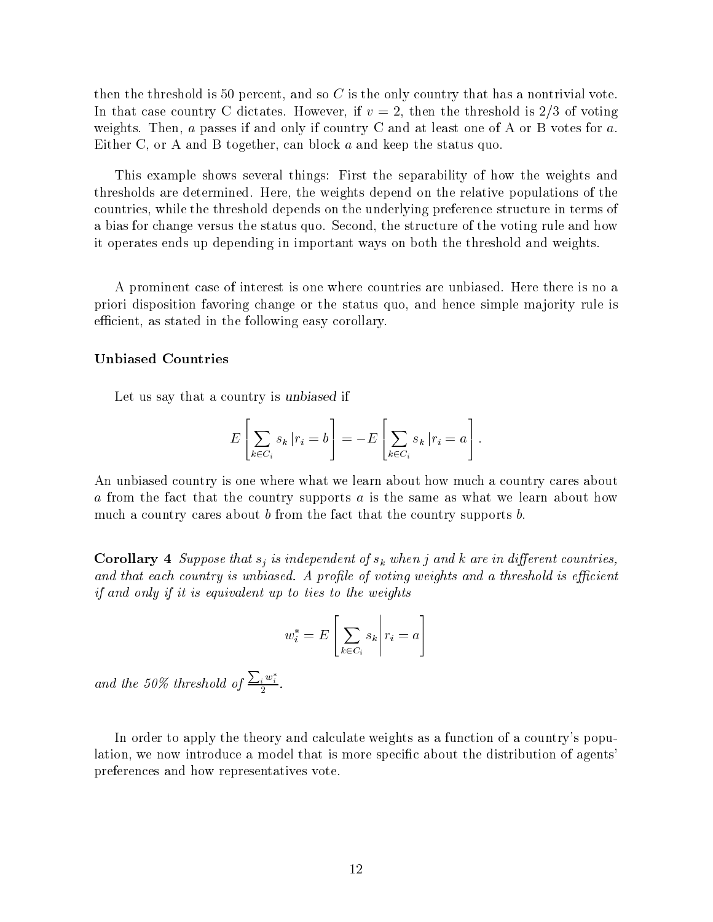then the threshold is 50 percent, and so  $C$  is the only country that has a nontrivial vote. In that case country C dictates. However, if  $v = 2$ , then the threshold is 2/3 of voting weights. Then,  $a$  passes if and only if country C and at least one of A or B votes for  $a$ . Either C, or A and B together, can block <sup>a</sup> and keep the status quo.

This example shows several things: First the separability of how the weights and thresholds are determined. Here, the weights depend on the relative populations of the countries, while the threshold depends on the underlying preference structure in terms of a bias for change versus the status quo. Second, the structure of the voting rule and how it operates ends up depending in important ways on both the threshold and weights.

A prominent case of interest is one where countries are unbiased. Here there is no a priori disposition favoring change or the status quo, and hence simple majority rule is efficient, as stated in the following easy corollary.

#### Unbiased Countries

Let us say that a country is unbiased if

$$
E\left[\sum_{k \in C_i} s_k | r_i = b\right] = -E\left[\sum_{k \in C_i} s_k | r_i = a\right].
$$

An unbiased country is one where what we learn about how much a country cares about <sup>a</sup> from the fact that the country supports <sup>a</sup> is the same as what we learn about how much a country cares about  $b$  from the fact that the country supports  $b$ .

**Corollary 4** Suppose that  $s_i$  is independent of  $s_k$  when j and k are in different countries, and that each country is unbiased. A profile of voting weights and a threshold is efficient if and only if it is equivalent up to ties to the weights

$$
w_i^* = E\left[\sum_{k \in C_i} s_k \middle| r_i = a\right]
$$

and the 50% threshold of  $\frac{\sum_i w_i^*}{2}$ .

In order to apply the theory and calculate weights as a function of a country's population, we now introduce a model that is more specific about the distribution of agents' preferences and how representatives vote.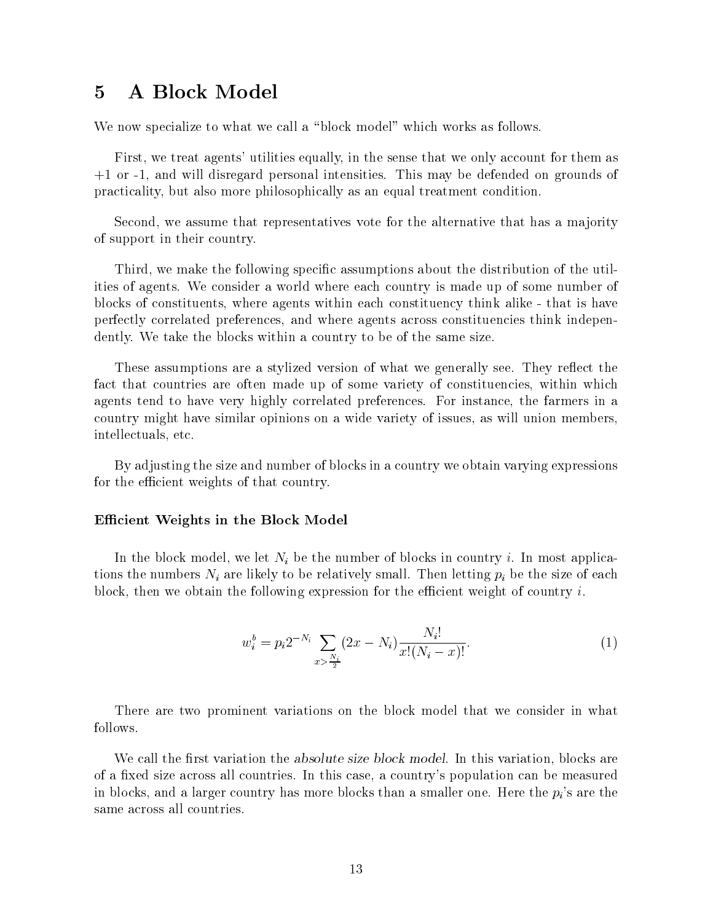#### A Block Model  $\overline{5}$

We now specialize to what we call a "block model" which works as follows.

First, we treat agents' utilities equally, in the sense that we only account for them as +1 or -1, and will disregard personal intensities. This may be defended on grounds of practicality, but also more philosophically as an equal treatment condition.

Second, we assume that representatives vote for the alternative that has a majority of support in their country.

Third, we make the following specic assumptions about the distribution of the utilities of agents. We consider a world where each country is made up of some number of blocks of constituents, where agents within each constituency think alike - that is have perfectly correlated preferences, and where agents across constituencies think independently. We take the blocks within a country to be of the same size.

These assumptions are a stylized version of what we generally see. They reflect the fact that countries are often made up of some variety of constituencies, within which agents tend to have very highly correlated preferences. For instance, the farmers in a country might have similar opinions on a wide variety of issues, as will union members, intellectuals, etc.

By adjusting the size and number of blocks in a country we obtain varying expressions for the efficient weights of that country.

#### Efficient Weights in the Block Model

In the block model, we let  $N_i$  be the number of blocks in country i. In most applications the numbers  $N_i$  are likely to be relatively small. Then letting  $p_i$  be the size of each block, then we obtain the following expression for the efficient weight of country  $i$ .

$$
w_i^b = p_i 2^{-N_i} \sum_{x > \frac{N_i}{2}} (2x - N_i) \frac{N_i!}{x!(N_i - x)!}.
$$
 (1)

There are two prominent variations on the block model that we consider in what follows.

We call the first variation the *absolute size block model*. In this variation, blocks are of a fixed size across all countries. In this case, a country's population can be measured in blocks, and a larger country has more blocks than a smaller one. Here the  $p_i$ 's are the same across all countries.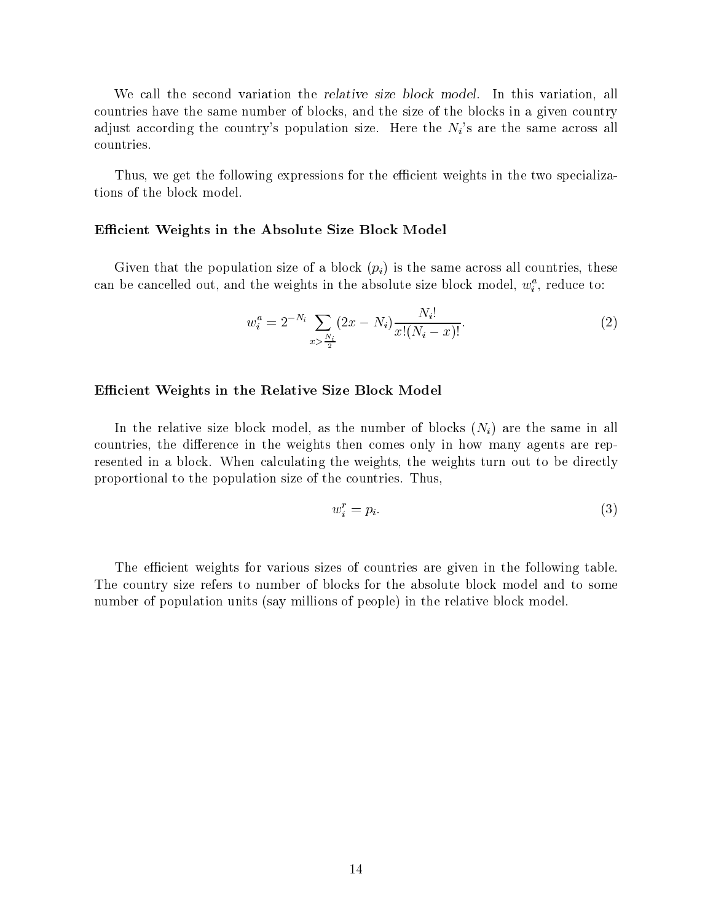We call the second variation the *relative size block model*. In this variation, all countries have the same number of blocks, and the size of the blocks in a given country adjust according the country's population size. Here the  $N_i$ 's are the same across all countries.

Thus, we get the following expressions for the efficient weights in the two specializations of the block model.

#### Efficient Weights in the Absolute Size Block Model

Given that the population size of a block  $(p_i)$  is the same across all countries, these can be cancelled out, and the weights in the absolute size block model,  $w_i$ , reduce to:

$$
w_i^a = 2^{-N_i} \sum_{x > \frac{N_i}{2}} (2x - N_i) \frac{N_i!}{x!(N_i - x)!}.
$$
 (2)

#### Efficient Weights in the Relative Size Block Model

In the relative size block model, as the number of blocks  $(N_i)$  are the same in all countries, the difference in the weights then comes only in how many agents are represented in a block. When calculating the weights, the weights turn out to be directly proportional to the population size of the countries. Thus,

$$
w_i^r = p_i. \tag{3}
$$

The efficient weights for various sizes of countries are given in the following table. The country size refers to number of blocks for the absolute block model and to some number of population units (say millions of people) in the relative block model.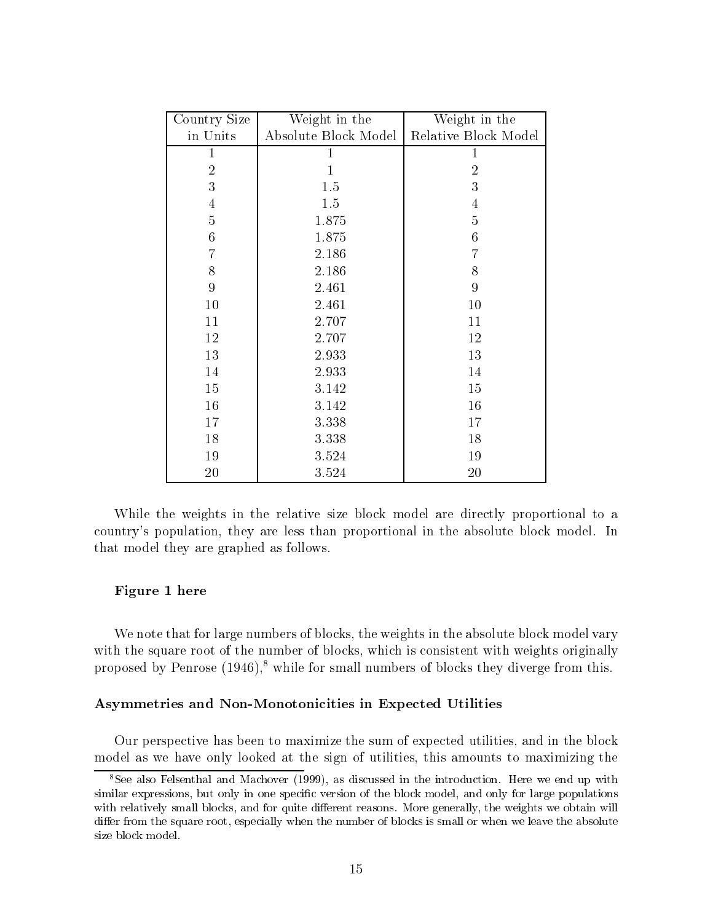| Country Size   | Weight in the        | Weight in the        |
|----------------|----------------------|----------------------|
| in Units       | Absolute Block Model | Relative Block Model |
| $\mathbf{1}$   |                      |                      |
| $\overline{2}$ |                      | $\overline{2}$       |
| 3              | 1.5                  | 3                    |
| 4              | 1.5                  | 4                    |
| $\overline{5}$ | 1.875                | $\overline{5}$       |
| 6              | 1.875                | $\boldsymbol{6}$     |
| 7              | 2.186                | 7                    |
| 8              | 2.186                | 8                    |
| 9              | 2.461                | 9                    |
| 10             | 2.461                | 10                   |
| 11             | 2.707                | 11                   |
| 12             | 2.707                | 12                   |
| 13             | 2.933                | 13                   |
| 14             | 2.933                | 14                   |
| 15             | 3.142                | 15                   |
| 16             | 3.142                | 16                   |
| 17             | 3.338                | 17                   |
| 18             | 3.338                | 18                   |
| 19             | 3.524                | 19                   |
| 20             | 3.524                | 20                   |

While the weights in the relative size block model are directly proportional to a country's population, they are less than proportional in the absolute block model. In that model they are graphed as follows.

#### Figure 1 here

We note that for large numbers of blocks, the weights in the absolute block model vary with the square root of the number of blocks, which is consistent with weights originally proposed by Penrose  $(1946)$ ,<sup>8</sup> while for small numbers of blocks they diverge from this.

#### Asymmetries and Non-Monotonicities in Expected Utilities

Our perspective has been to maximize the sum of expected utilities, and in the block model as we have only looked at the sign of utilities, this amounts to maximizing the

<sup>8</sup>See also Felsenthal and Machover (1999), as discussed in the introduction. Here we end up with similar expressions, but only in one specific version of the block model, and only for large populations with relatively small blocks, and for quite different reasons. More generally, the weights we obtain will differ from the square root, especially when the number of blocks is small or when we leave the absolute size block model.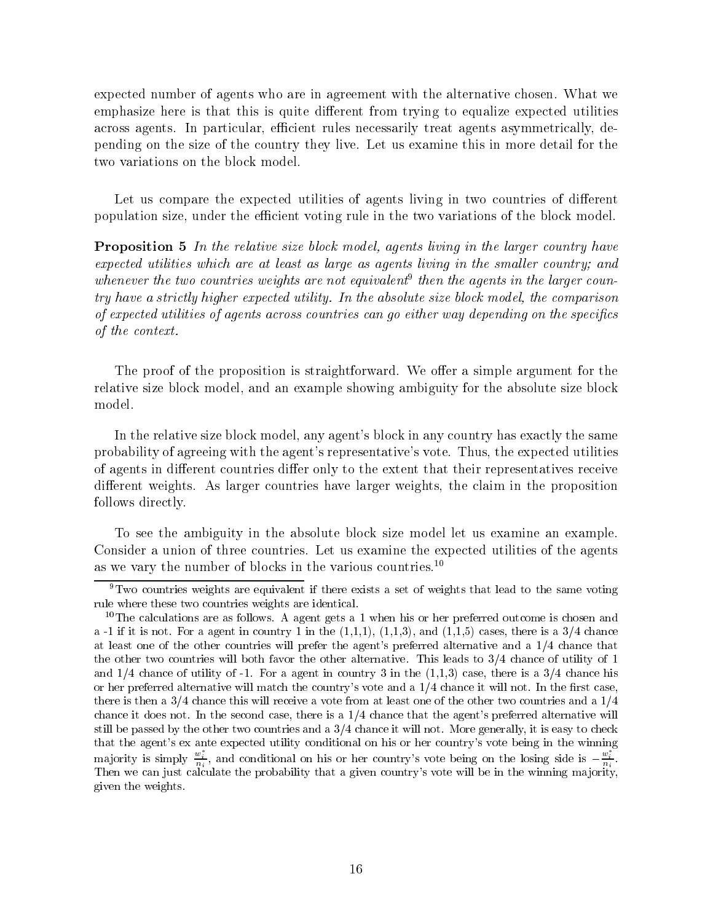expected number of agents who are in agreement with the alternative chosen. What we emphasize here is that this is quite different from trying to equalize expected utilities across agents. In particular, efficient rules necessarily treat agents asymmetrically, depending on the size of the country they live. Let us examine this in more detail for the two variations on the block model.

Let us compare the expected utilities of agents living in two countries of different population size, under the efficient voting rule in the two variations of the block model.

**Proposition 5** In the relative size block model, agents living in the larger country have expected utilities which are at least as large as agents living in the smaller country; and whenever the two countries weights are not equivalent then the agents in the larger country have a strictly higher expected utility. In the absolute size block model, the comparison of expected utilities of agents across countries can go either way depending on the specics of the context.

The proof of the proposition is straightforward. We offer a simple argument for the relative size block model, and an example showing ambiguity for the absolute size block model.

In the relative size block model, any agent's block in any country has exactly the same probability of agreeing with the agent's representative's vote. Thus, the expected utilities of agents in different countries differ only to the extent that their representatives receive different weights. As larger countries have larger weights, the claim in the proposition follows directly.

To see the ambiguity in the absolute block size model let us examine an example. Consider a union of three countries. Let us examine the expected utilities of the agents as we vary the number of blocks in the various countries.<sup>10</sup>

 ${}^{9}$ Two countries weights are equivalent if there exists a set of weights that lead to the same voting rule where these two countries weights are identical.

 $10$ The calculations are as follows. A agent gets a 1 when his or her preferred outcome is chosen and a -1 if it is not. For a agent in country 1 in the  $(1,1,1)$ ,  $(1,1,3)$ , and  $(1,1,5)$  cases, there is a  $3/4$  chance at least one of the other countries will prefer the agent's preferred alternative and a 1/4 chance that the other two countries will both favor the other alternative. This leads to 3/4 chance of utility of 1 and  $1/4$  chance of utility of  $-1$ . For a agent in country 3 in the  $(1,1,3)$  case, there is a  $3/4$  chance his or her preferred alternative will match the country's vote and a  $1/4$  chance it will not. In the first case, there is then a  $3/4$  chance this will receive a vote from at least one of the other two countries and a  $1/4$ chance it does not. In the second case, there is a  $1/4$  chance that the agent's preferred alternative will still be passed by the other two countries and a  $3/4$  chance it will not. More generally, it is easy to check that the agent's ex ante expected utility conditional on his or her country's vote being in the winning majority is simply  $\frac{w_i}{n_i}$ , and conditional on his or her country's vote being on the losing side is  $-\frac{w_i}{n_i}$ .<br>Then we can just calculate the probability that a given country's vote will be in the winning majority, given the weights.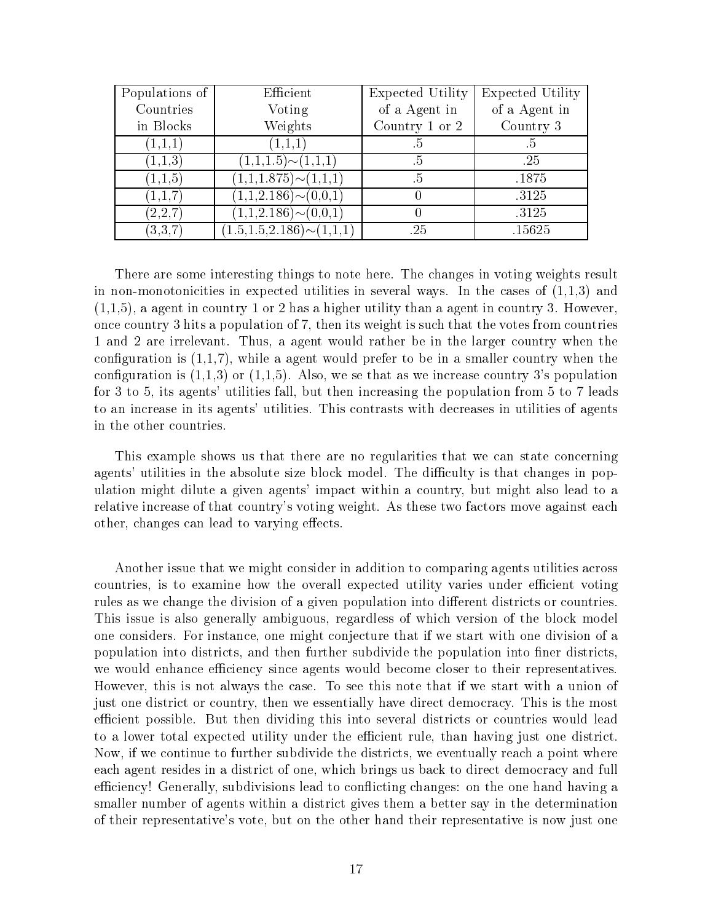| Populations of | Efficient                          | Expected Utility | Expected Utility |
|----------------|------------------------------------|------------------|------------------|
| Countries      | Voting                             | of a Agent in    | of a Agent in    |
| in Blocks      | Weights                            | Country 1 or 2   | Country 3        |
| (1,1,1)        | (1,1,1)                            | .ხ               | $\cdot$          |
| (1,1,3)        | $(1,1,1.5) \sim (1,1,1)$           | .5               | .25              |
| (1,1,5)        | $(1,1,1.875)\sim(1,1,1)$           | $.5\,$           | .1875            |
| (1,1,7)        | $(1,1,2.186) \sim (0,0,1)$         |                  | .3125            |
| (2,2,7)        | $(1,1,2.186) \sim (0,0,1)$         |                  | .3125            |
| (3,3,7)        | $(1.5, 1.5, 2.186) \sim (1, 1, 1)$ | .25              | .15625           |

There are some interesting things to note here. The changes in voting weights result in non-monotonicities in expected utilities in several ways. In the cases of  $(1,1,3)$  and  $(1,1,5)$ , a agent in country 1 or 2 has a higher utility than a agent in country 3. However, once country 3 hits a population of 7, then its weight is such that the votes from countries 1 and 2 are irrelevant. Thus, a agent would rather be in the larger country when the configuration is  $(1,1,7)$ , while a agent would prefer to be in a smaller country when the configuration is  $(1,1,3)$  or  $(1,1,5)$ . Also, we se that as we increase country 3's population for 3 to 5, its agents' utilities fall, but then increasing the population from 5 to 7 leads to an increase in its agents' utilities. This contrasts with decreases in utilities of agents in the other countries.

This example shows us that there are no regularities that we can state concerning agents' utilities in the absolute size block model. The difficulty is that changes in population might dilute a given agents' impact within a country, but might also lead to a relative increase of that country's voting weight. As these two factors move against each other, changes can lead to varying effects.

Another issue that we might consider in addition to comparing agents utilities across countries, is to examine how the overall expected utility varies under efficient voting rules as we change the division of a given population into different districts or countries. This issue is also generally ambiguous, regardless of which version of the block model one considers. For instance, one might conjecture that if we start with one division of a population into districts, and then further subdivide the population into finer districts, we would enhance efficiency since agents would become closer to their representatives. However, this is not always the case. To see this note that if we start with a union of just one district or country, then we essentially have direct democracy. This is the most efficient possible. But then dividing this into several districts or countries would lead to a lower total expected utility under the efficient rule, than having just one district. Now, if we continue to further subdivide the districts, we eventually reach a point where each agent resides in a district of one, which brings us back to direct democracy and full efficiency! Generally, subdivisions lead to conflicting changes: on the one hand having a smaller number of agents within a district gives them a better say in the determination of their representative's vote, but on the other hand their representative is now just one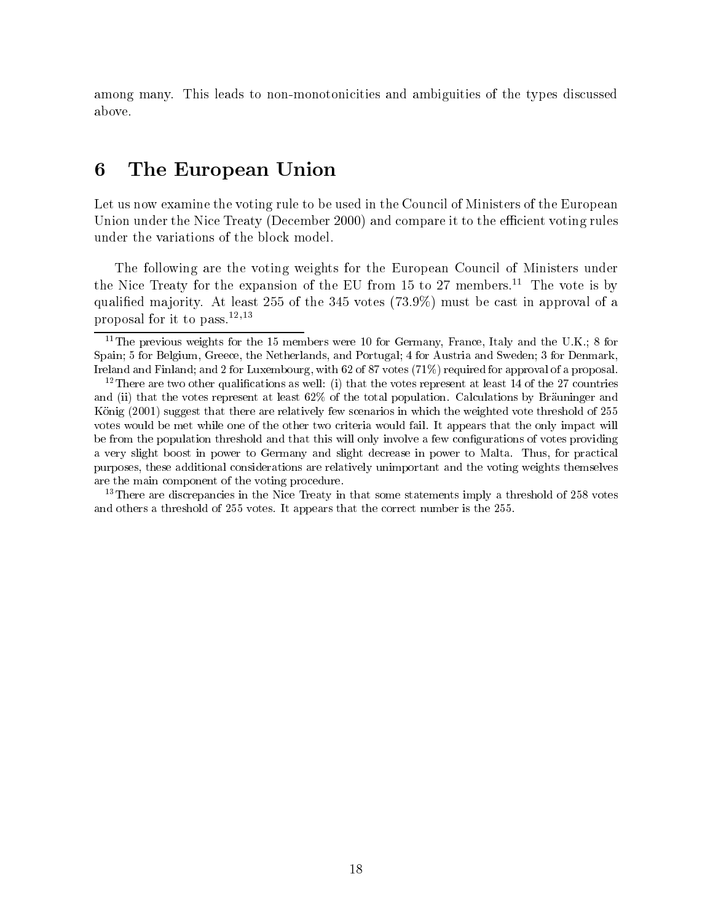among many. This leads to non-monotonicities and ambiguities of the types discussed above.

### 6 The European Union

Let us now examine the voting rule to be used in the Council of Ministers of the European Union under the Nice Treaty (December 2000) and compare it to the efficient voting rules under the variations of the block model.

The following are the voting weights for the European Council of Ministers under the Nice Treaty for the expansion of the EU from 15 to 27 members.<sup>11</sup> The vote is by qualied ma jority. At least 255 of the 345 votes (73.9%) must be cast in approval of a proposal for it to pass. $^{12,13}$ 

<sup>13</sup>There are discrepancies in the Nice Treaty in that some statements imply a threshold of 258 votes and others a threshold of 255 votes. It appears that the correct number is the 255.

<sup>&</sup>lt;sup>11</sup>The previous weights for the 15 members were 10 for Germany, France, Italy and the U.K.; 8 for Spain; 5 for Belgium, Greece, the Netherlands, and Portugal; 4 for Austria and Sweden; 3 for Denmark, Ireland and Finland; and 2 for Luxembourg, with 62 of 87 votes (71%) required for approval of a proposal.

<sup>&</sup>lt;sup>12</sup>There are two other qualifications as well: (i) that the votes represent at least 14 of the 27 countries and (ii) that the votes represent at least 62% of the total population. Calculations by Bräuninger and König (2001) suggest that there are relatively few scenarios in which the weighted vote threshold of 255 votes would be met while one of the other two criteria would fail. It appears that the only impact will be from the population threshold and that this will only involve a few configurations of votes providing a very slight boost in power to Germany and slight decrease in power to Malta. Thus, for practical purposes, these additional considerations are relatively unimportant and the voting weights themselves are the main component of the voting procedure.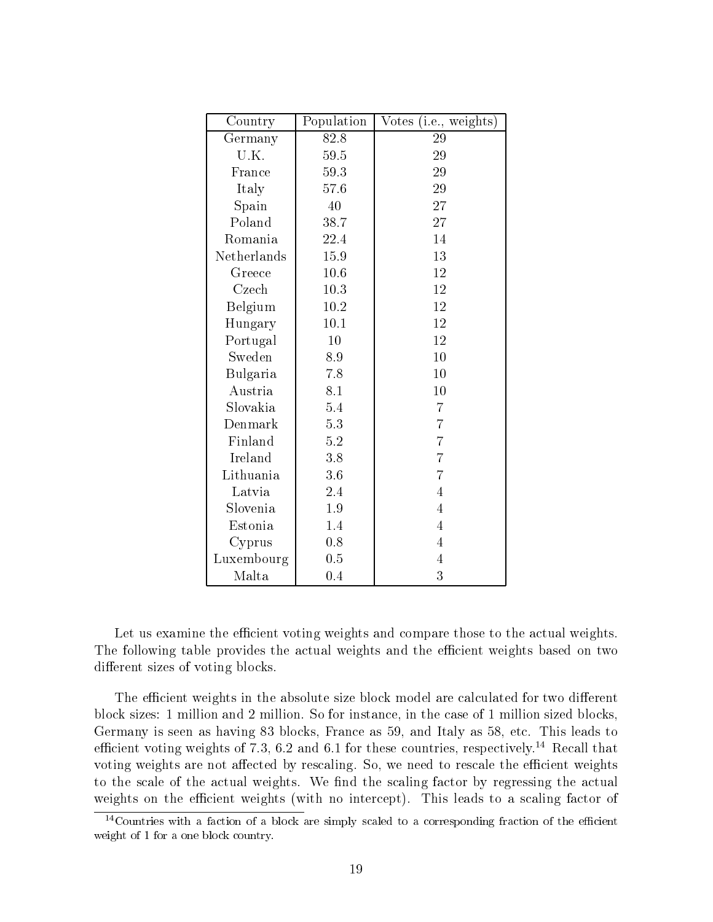| Country     | Population | Votes (i.e., weights) |
|-------------|------------|-----------------------|
| Germany     | 82.8       | 29                    |
| U.K.        | 59.5       | 29                    |
| France      | 59.3       | 29                    |
| Italy       | 57.6       | 29                    |
| Spain       | 40         | 27                    |
| Poland      | 38.7       | 27                    |
| Romania     | 22.4       | 14                    |
| Netherlands | 15.9       | 13                    |
| Greece      | 10.6       | 12                    |
| Czech       | 10.3       | 12                    |
| Belgium     | 10.2       | 12                    |
| Hungary     | 10.1       | 12                    |
| Portugal    | 10         | 12                    |
| Sweden      | 8.9        | 10                    |
| Bulgaria    | 7.8        | 10                    |
| Austria     | 8.1        | 10                    |
| Slovakia    | 5.4        | $\overline{7}$        |
| Denmark     | 5.3        | $\overline{7}$        |
| Finland     | 5.2        | $\overline{7}$        |
| Ireland     | 3.8        | $\overline{7}$        |
| Lithuania   | 3.6        | $\overline{7}$        |
| Latvia      | 2.4        | $\overline{4}$        |
| Slovenia    | 1.9        | $\overline{4}$        |
| Estonia     | 1.4        | $\overline{4}$        |
| Cyprus      | 0.8        | $\overline{4}$        |
| Luxembourg  | 0.5        | 4                     |
| Malta       | 0.4        | 3                     |

Let us examine the efficient voting weights and compare those to the actual weights. The following table provides the actual weights and the efficient weights based on two different sizes of voting blocks.

The efficient weights in the absolute size block model are calculated for two different block sizes: 1 million and 2 million. So for instance, in the case of 1 million sized blocks, Germany is seen as having 83 blocks, France as 59, and Italy as 58, etc. This leads to efficient voting weights of 7.3, 6.2 and 6.1 for these countries, respectively.<sup>14</sup> Recall that voting weights are not affected by rescaling. So, we need to rescale the efficient weights to the scale of the actual weights. We find the scaling factor by regressing the actual weights on the efficient weights (with no intercept). This leads to a scaling factor of

 $14$ Countries with a faction of a block are simply scaled to a corresponding fraction of the efficient weight of 1 for a one block country.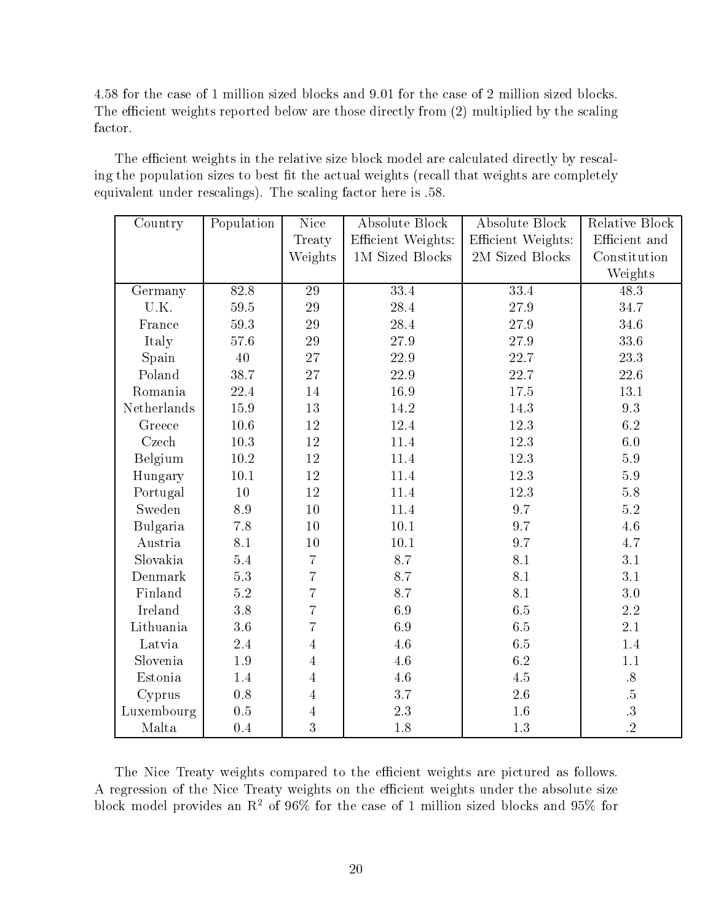4.58 for the case of 1 million sized blocks and 9.01 for the case of 2 million sized blocks. The efficient weights reported below are those directly from  $(2)$  multiplied by the scaling factor.

The efficient weights in the relative size block model are calculated directly by rescaling the population sizes to best fit the actual weights (recall that weights are completely equivalent under rescalings). The scaling factor here is .58.

| Country     | Population | Nice           | <b>Absolute Block</b> | <b>Absolute Block</b> | <b>Relative Block</b> |
|-------------|------------|----------------|-----------------------|-----------------------|-----------------------|
|             |            | Treaty         | Efficient Weights:    | Efficient Weights:    | Efficient and         |
|             |            | Weights        | 1M Sized Blocks       | 2M Sized Blocks       | Constitution          |
|             |            |                |                       |                       | Weights               |
| Germany     | 82.8       | 29             | 33.4                  | 33.4                  | 48.3                  |
| U.K.        | 59.5       | 29             | 28.4                  | 27.9                  | 34.7                  |
| France      | 59.3       | 29             | $28.4\,$              | 27.9                  | 34.6                  |
| Italy       | 57.6       | 29             | 27.9                  | 27.9                  | 33.6                  |
| Spain       | 40         | 27             | 22.9                  | 22.7                  | 23.3                  |
| Poland      | 38.7       | 27             | 22.9                  | 22.7                  | 22.6                  |
| Romania     | 22.4       | 14             | 16.9                  | 17.5                  | 13.1                  |
| Netherlands | 15.9       | 13             | 14.2                  | 14.3                  | 9.3                   |
| Greece      | $10.6\,$   | 12             | 12.4                  | 12.3                  | $6.2\,$               |
| Czech       | $10.3\,$   | 12             | 11.4                  | 12.3                  | $6.0\,$               |
| Belgium     | 10.2       | 12             | 11.4                  | 12.3                  | $5.9\,$               |
| Hungary     | 10.1       | 12             | 11.4                  | 12.3                  | $5.9\,$               |
| Portugal    | 10         | 12             | 11.4                  | 12.3                  | $5.8\,$               |
| Sweden      | 8.9        | 10             | 11.4                  | 9.7                   | $5.2\,$               |
| Bulgaria    | 7.8        | 10             | 10.1                  | 9.7                   | $4.6\,$               |
| Austria     | 8.1        | 10             | 10.1                  | 9.7                   | $4.7\,$               |
| Slovakia    | 5.4        | $\overline{7}$ | 8.7                   | 8.1                   | 3.1                   |
| Denmark     | 5.3        | $\overline{7}$ | 8.7                   | 8.1                   | 3.1                   |
| Finland     | 5.2        | $\overline{7}$ | 8.7                   | 8.1                   | $3.0\,$               |
| Ireland     | 3.8        | $\overline{7}$ | 6.9                   | 6.5                   | 2.2                   |
| Lithuania   | 3.6        | $\overline{7}$ | 6.9                   | 6.5                   | 2.1                   |
| Latvia      | 2.4        | $\overline{4}$ | 4.6                   | 6.5                   | 1.4                   |
| Slovenia    | 1.9        | $\overline{4}$ | 4.6                   | 6.2                   | $1.1\,$               |
| Estonia     | 1.4        | $\overline{4}$ | 4.6                   | 4.5                   | $.8\,$                |
| Cyprus      | 0.8        | 4              | 3.7                   | 2.6                   | $\ddot{5}$            |
| Luxembourg  | 0.5        | $\overline{4}$ | 2.3                   | 1.6                   | $\cdot$ 3             |
| Malta       | 0.4        | 3              | 1.8                   | 1.3                   | $\overline{.2}$       |

The Nice Treaty weights compared to the efficient weights are pictured as follows. A regression of the Nice Treaty weights on the efficient weights under the absolute size block model provides an  $R^2$  of  $96\%$  for the case of 1 million sized blocks and  $95\%$  for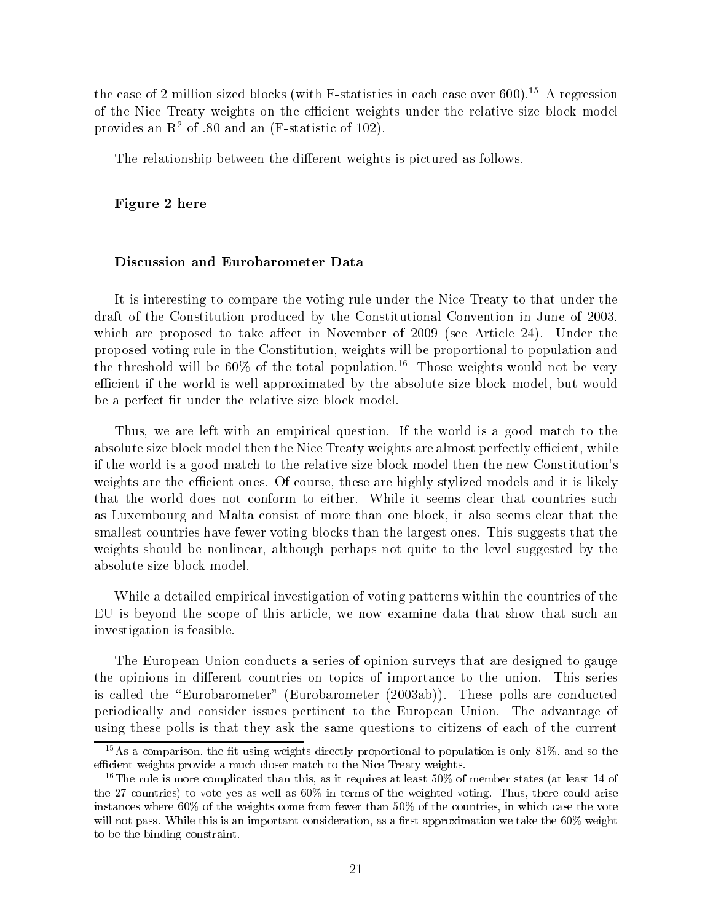the case of 2 million sized blocks (with F-statistics in each case over 600).<sup>15</sup> A regression of the Nice Treaty weights on the efficient weights under the relative size block model provides an  $\mathbb{R}^2$  of .80 and an (F-statistic of 102).

The relationship between the different weights is pictured as follows.

#### Figure 2 here

#### Discussion and Eurobarometer Data

It is interesting to compare the voting rule under the Nice Treaty to that under the draft of the Constitution produced by the Constitutional Convention in June of 2003, which are proposed to take affect in November of  $2009$  (see Article 24). Under the proposed voting rule in the Constitution, weights will be proportional to population and the threshold will be  $60\%$  of the total population.<sup>16</sup> Those weights would not be very efficient if the world is well approximated by the absolute size block model, but would be a perfect fit under the relative size block model.

Thus, we are left with an empirical question. If the world is a good match to the absolute size block model then the Nice Treaty weights are almost perfectly efficient, while if the world is a good match to the relative size block model then the new Constitution's weights are the efficient ones. Of course, these are highly stylized models and it is likely that the world does not conform to either. While it seems clear that countries such as Luxembourg and Malta consist of more than one block, it also seems clear that the smallest countries have fewer voting blocks than the largest ones. This suggests that the weights should be nonlinear, although perhaps not quite to the level suggested by the absolute size block model.

While a detailed empirical investigation of voting patterns within the countries of the EU is beyond the scope of this article, we now examine data that show that such an investigation is feasible.

The European Union conducts a series of opinion surveys that are designed to gauge the opinions in different countries on topics of importance to the union. This series is called the "Eurobarometer" (Eurobarometer (2003ab)). These polls are conducted periodically and consider issues pertinent to the European Union. The advantage of using these polls is that they ask the same questions to citizens of each of the current

 $15As$  a comparison, the fit using weights directly proportional to population is only 81%, and so the efficient weights provide a much closer match to the Nice Treaty weights.

<sup>&</sup>lt;sup>16</sup>The rule is more complicated than this, as it requires at least  $50\%$  of member states (at least 14 of the 27 countries) to vote yes as well as 60% in terms of the weighted voting. Thus, there could arise instances where 60% of the weights come from fewer than 50% of the countries, in which case the vote will not pass. While this is an important consideration, as a first approximation we take the 60% weight to be the binding constraint.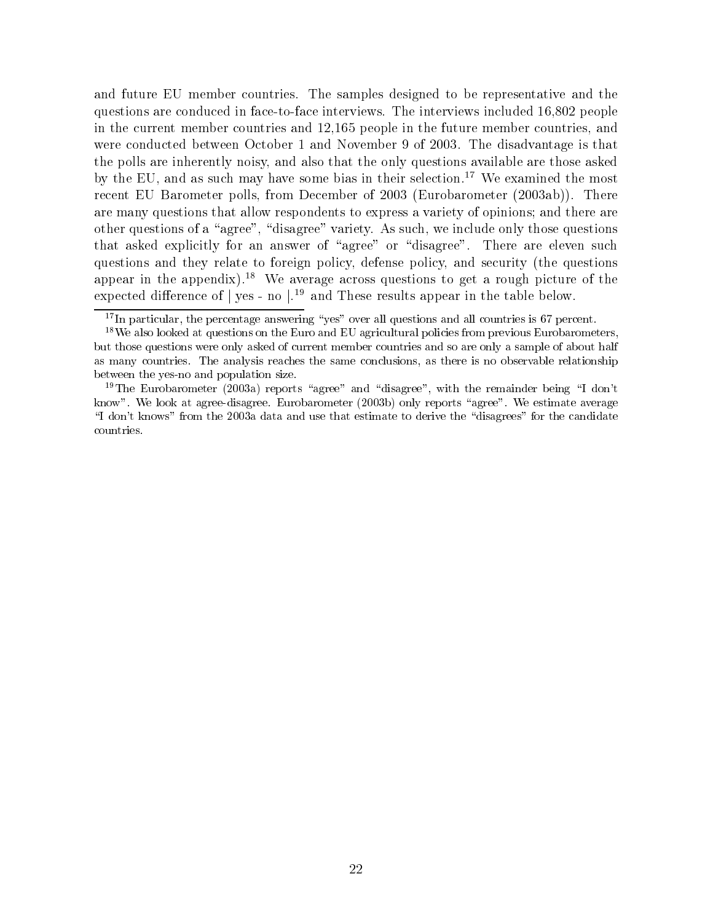and future EU member countries. The samples designed to be representative and the questions are conduced in face-to-face interviews. The interviews included 16,802 people in the current member countries and 12,165 people in the future member countries, and were conducted between October 1 and November 9 of 2003. The disadvantage is that the polls are inherently noisy, and also that the only questions available are those asked by the EU, and as such may have some bias in their selection.<sup>17</sup> We examined the most recent EU Barometer polls, from December of 2003 (Eurobarometer (2003ab)). There are many questions that allow respondents to express a variety of opinions; and there are other questions of a "agree", "disagree" variety. As such, we include only those questions that asked explicitly for an answer of "agree" or "disagree". There are eleven such questions and they relate to foreign policy, defense policy, and security (the questions appear in the appendix).<sup>18</sup> We average across questions to get a rough picture of the expected difference of  $\int$  yes - no  $\int$ <sup>19</sup> and These results appear in the table below.

 $17$ In particular, the percentage answering "yes" over all questions and all countries is 67 percent.

<sup>&</sup>lt;sup>18</sup>We also looked at questions on the Euro and EU agricultural policies from previous Eurobarometers, but those questions were only asked of current member countries and so are only a sample of about half as many countries. The analysis reaches the same conclusions, as there is no observable relationship between the yes-no and population size.

<sup>&</sup>lt;sup>19</sup>The Eurobarometer (2003a) reports "agree" and "disagree", with the remainder being "I don't know". We look at agree-disagree. Eurobarometer (2003b) only reports "agree". We estimate average "I don't knows" from the 2003a data and use that estimate to derive the "disagrees" for the candidate countries.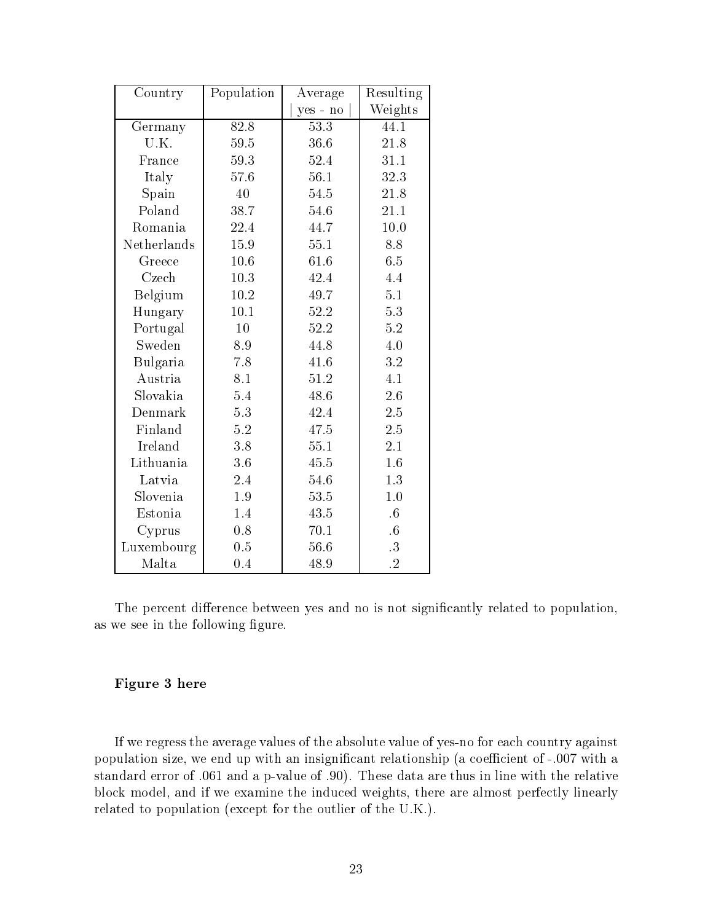| Country     | Population | Average  | Resulting            |
|-------------|------------|----------|----------------------|
|             |            | yes - no | Weights              |
| Germany     | 82.8       | 53.3     | 44.1                 |
| U.K.        | 59.5       | 36.6     | 21.8                 |
| France      | 59.3       | 52.4     | 31.1                 |
| Italy       | 57.6       | 56.1     | 32.3                 |
| Spain       | 40         | 54.5     | 21.8                 |
| Poland      | 38.7       | 54.6     | 21.1                 |
| Romania     | 22.4       | 44.7     | $10.0$               |
| Netherlands | 15.9       | $55.1\,$ | 8.8                  |
| Greece      | 10.6       | 61.6     | 6.5                  |
| Czech       | 10.3       | 42.4     | 4.4                  |
| Belgium     | 10.2       | 49.7     | 5.1                  |
| Hungary     | 10.1       | 52.2     | 5.3                  |
| Portugal    | 10         | 52.2     | 5.2                  |
| Sweden      | 8.9        | 44.8     | 4.0                  |
| Bulgaria    | 7.8        | 41.6     | 3.2                  |
| Austria     | 8.1        | 51.2     | 4.1                  |
| Slovakia    | 5.4        | 48.6     | 2.6                  |
| Denmark     | 5.3        | 42.4     | 2.5                  |
| Finland     | 5.2        | 47.5     | 2.5                  |
| Ireland     | 3.8        | 55.1     | 2.1                  |
| Lithuania   | 3.6        | 45.5     | 1.6                  |
| Latvia      | 2.4        | 54.6     | 1.3                  |
| Slovenia    | 1.9        | 53.5     | 1.0                  |
| Estonia     | 1.4        | 43.5     | $\cdot 6$            |
| Cyprus      | 0.8        | 70.1     | $.6\,$               |
| Luxembourg  | 0.5        | 56.6     | $.3\,$               |
| Malta       | 0.4        | 48.9     | $\cdot$ <sup>2</sup> |

The percent difference between yes and no is not significantly related to population, as we see in the following figure.

#### Figure 3 here

If we regress the average values of the absolute value of yes-no for each country against population size, we end up with an insignificant relationship (a coefficient of -.007 with a standard error of .061 and a p-value of .90). These data are thus in line with the relative block model, and if we examine the induced weights, there are almost perfectly linearly related to population (except for the outlier of the U.K.).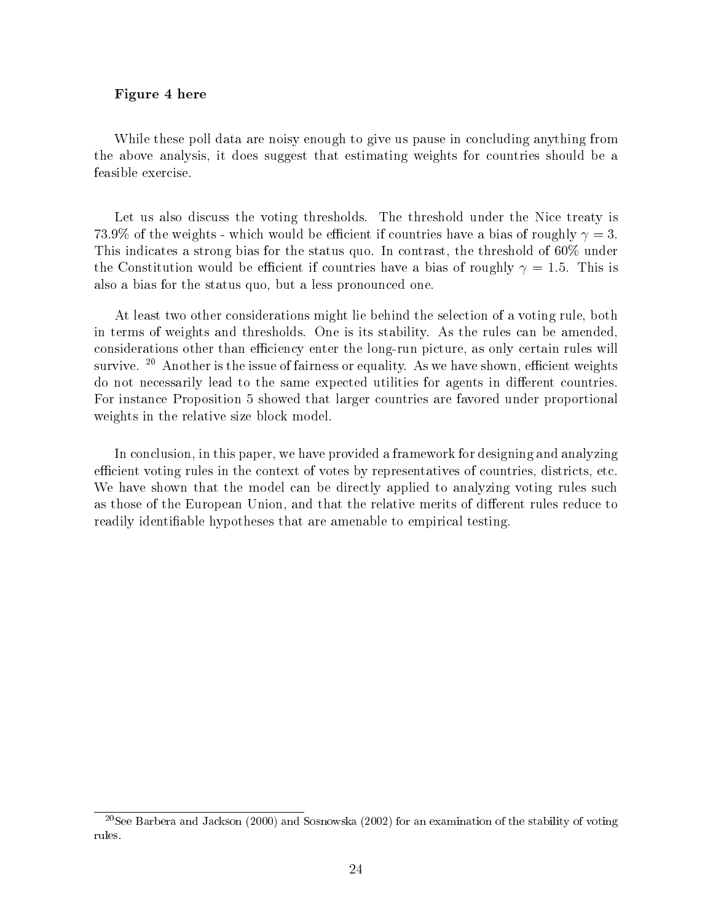#### Figure 4 here

While these poll data are noisy enough to give us pause in concluding anything from the above analysis, it does suggest that estimating weights for countries should be a feasible exercise.

Let us also discuss the voting thresholds. The threshold under the Nice treaty is 73.9% of the weights - which would be efficient if countries have a bias of roughly  $\gamma = 3$ . This indicates a strong bias for the status quo. In contrast, the threshold of 60% under the Constitution would be efficient if countries have a bias of roughly  $\gamma = 1.5$ . This is also a bias for the status quo, but a less pronounced one.

At least two other considerations might lie behind the selection of a voting rule, both in terms of weights and thresholds. One is its stability. As the rules can be amended, considerations other than efficiency enter the long-run picture, as only certain rules will survive.  $20$  Another is the issue of fairness or equality. As we have shown, efficient weights do not necessarily lead to the same expected utilities for agents in different countries. For instance Proposition 5 showed that larger countries are favored under proportional weights in the relative size block model.

In conclusion, in this paper, we have provided a framework for designing and analyzing efficient voting rules in the context of votes by representatives of countries, districts, etc. We have shown that the model can be directly applied to analyzing voting rules such as those of the European Union, and that the relative merits of different rules reduce to readily identiable hypotheses that are amenable to empirical testing.

<sup>20</sup>See Barbera and Jackson (2000) and Sosnowska (2002) for an examination of the stability of voting rules.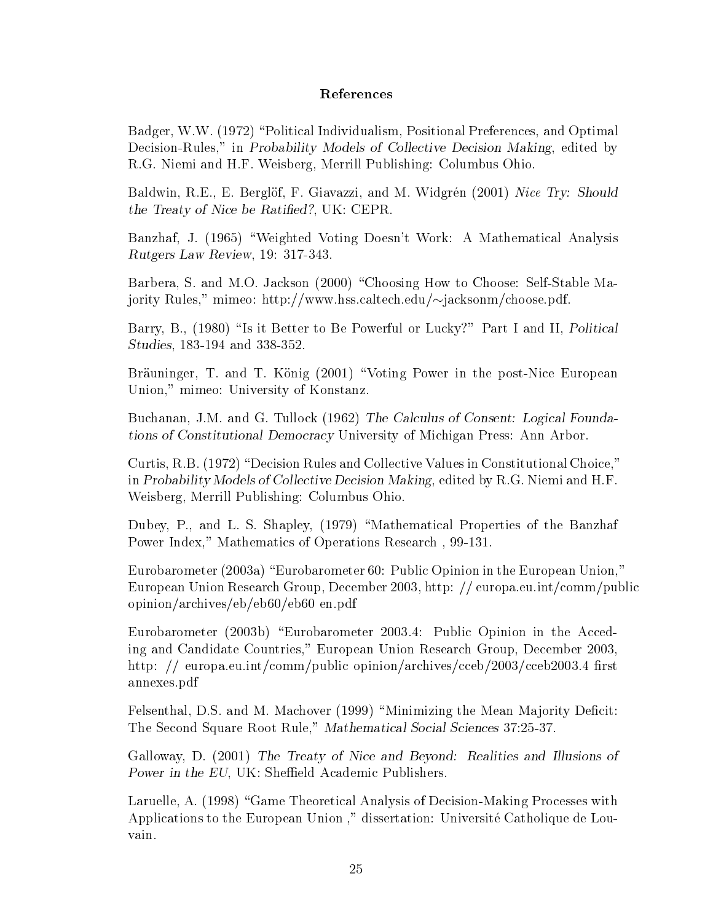#### References

Badger, W.W. (1972) \Political Individualism, Positional Preferences, and Optimal Decision-Rules," in Probability Models of Collective Decision Making, edited by R.G. Niemi and H.F. Weisberg, Merrill Publishing: Columbus Ohio.

Baldwin, R.E., E. Berglöf, F. Giavazzi, and M. Widgrén (2001) Nice Try: Should the Treaty of Nice be Ratied?, UK: CEPR.

Banzhaf, J. (1965) \Weighted Voting Doesn't Work: A Mathematical Analysis Rutgers Law Review, 19: 317-343.

Barbera, S. and M.O. Jackson (2000) "Choosing How to Choose: Self-Stable Majority Rules," mimeo: http://www.hss.caltech.edu/ $\sim$ jacksonm/choose.pdf.

Barry, B., (1980) "Is it Better to Be Powerful or Lucky?" Part I and II, Political Studies, 183-194 and 338-352.

Bräuninger, T. and T. König (2001) "Voting Power in the post-Nice European Union," mimeo: University of Konstanz.

Buchanan, J.M. and G. Tullock (1962) The Calculus of Consent: Logical Foundations of Constitutional Democracy University of Michigan Press: Ann Arbor.

Curtis, R.B. (1972) "Decision Rules and Collective Values in Constitutional Choice," in Probability Models of Collective Decision Making, edited by R.G. Niemi and H.F. Weisberg, Merrill Publishing: Columbus Ohio.

Dubey, P., and L. S. Shapley, (1979) "Mathematical Properties of the Banzhaf Power Index," Mathematics of Operations Research , 99-131.

Eurobarometer (2003a) "Eurobarometer 60: Public Opinion in the European Union," European Union Research Group, December 2003, http: // europa.eu.int/comm/public opinion/archives/eb/eb60/eb60 en.pdf

Eurobarometer (2003b) \Eurobarometer 2003.4: Public Opinion in the Acceding and Candidate Countries," European Union Research Group, December 2003, http: // europa.eu.int/comm/public opinion/archives/cceb/2003/cceb2003.4 first annexes.pdf

Felsenthal, D.S. and M. Machover (1999) "Minimizing the Mean Majority Deficit: The Second Square Root Rule," Mathematical Social Sciences 37:25-37.

Galloway, D. (2001) The Treaty of Nice and Beyond: Realities and Illusions of Power in the EU, UK: Sheffield Academic Publishers.

Laruelle, A. (1998) "Game Theoretical Analysis of Decision-Making Processes with Applications to the European Union," dissertation: Université Catholique de Louvain.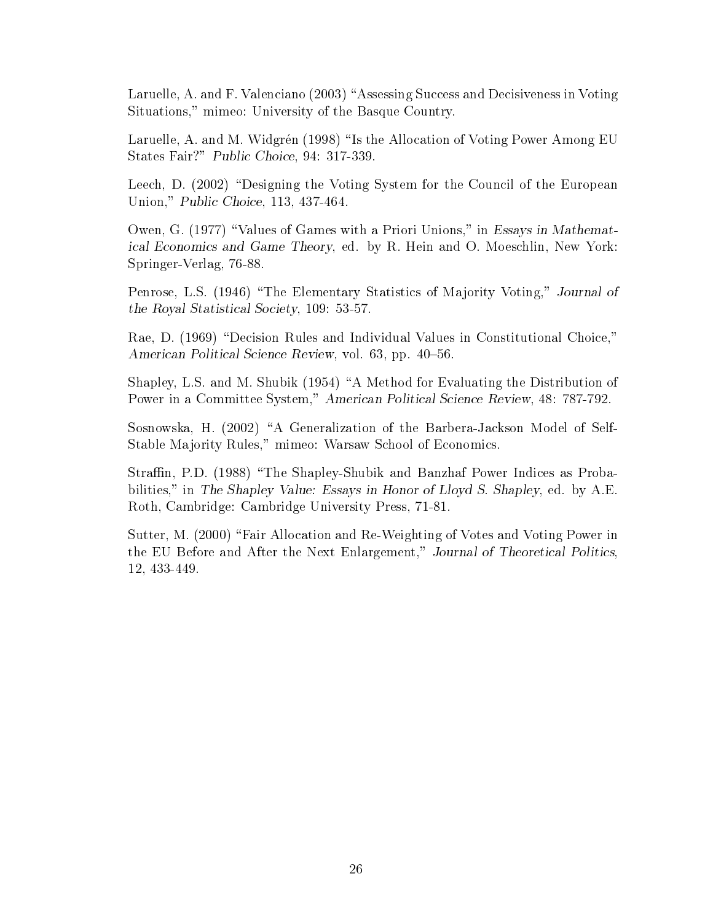Laruelle, A. and F. Valenciano (2003) "Assessing Success and Decisiveness in Voting Situations," mimeo: University of the Basque Country.

Laruelle, A. and M. Widgrén (1998) "Is the Allocation of Voting Power Among EU States Fair?" Public Choice, 94: 317-339.

Leech, D. (2002) "Designing the Voting System for the Council of the European Union," Public Choice, 113, 437-464.

Owen, G. (1977) "Values of Games with a Priori Unions," in Essays in Mathematical Economics and Game Theory, ed. by R. Hein and O. Moeschlin, New York: Springer-Verlag, 76-88.

Penrose, L.S. (1946) "The Elementary Statistics of Majority Voting," Journal of the Royal Statistical Society, 109: 53-57.

Rae, D. (1969) "Decision Rules and Individual Values in Constitutional Choice," American Political Science Review, vol. 63, pp. 40-56.

Shapley, L.S. and M. Shubik  $(1954)$  "A Method for Evaluating the Distribution of Power in a Committee System," American Political Science Review, 48: 787-792.

Sosnowska, H. (2002) "A Generalization of the Barbera-Jackson Model of Self-Stable Majority Rules," mimeo: Warsaw School of Economics.

Straffin, P.D. (1988) "The Shapley-Shubik and Banzhaf Power Indices as Probabilities," in The Shapley Value: Essays in Honor of Lloyd S. Shapley, ed. by A.E. Roth, Cambridge: Cambridge University Press, 71-81.

Sutter, M. (2000) "Fair Allocation and Re-Weighting of Votes and Voting Power in the EU Before and After the Next Enlargement," Journal of Theoretical Politics, 12, 433-449.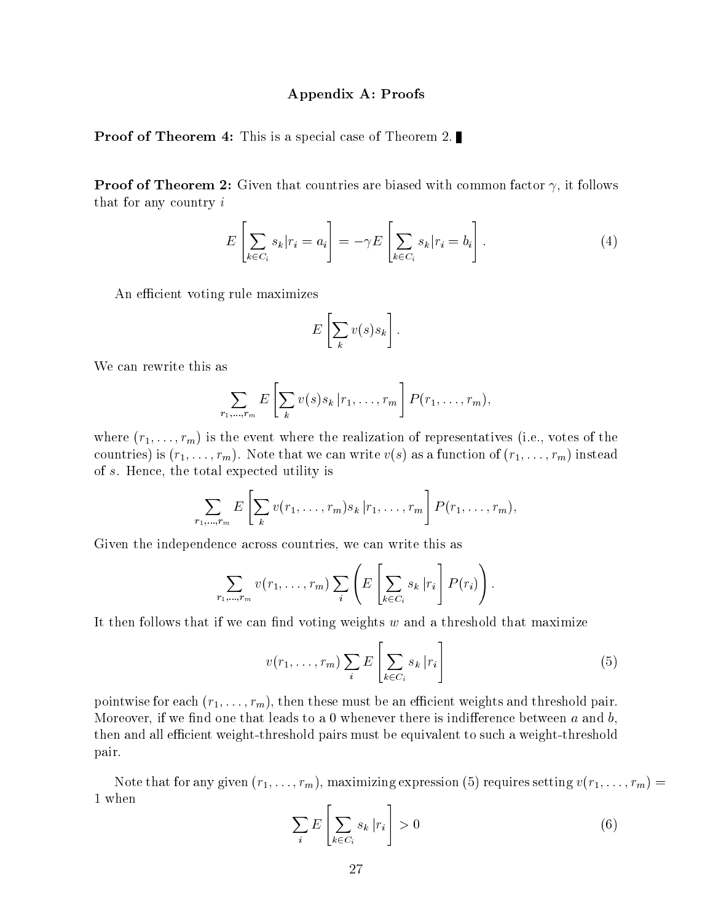#### Appendix A: Proofs

**Proof of Theorem 4:** This is a special case of Theorem 2.

**Proof of Theorem 2:** Given that countries are biased with common factor  $\gamma$ , it follows that for any country <sup>i</sup>

$$
E\left[\sum_{k \in C_i} s_k | r_i = a_i\right] = -\gamma E\left[\sum_{k \in C_i} s_k | r_i = b_i\right]. \tag{4}
$$

An efficient voting rule maximizes

$$
E\left[\sum_{k} v(s)s_{k}\right].
$$

We can rewrite this as

$$
\sum_{r_1,\ldots,r_m} E\left[\sum_k v(s)s_k | r_1,\ldots,r_m\right] P(r_1,\ldots,r_m),
$$

where  $(r_1,\ldots,r_m)$  is the event where the realization of representatives (i.e., votes of the countries) is  $(r_1,\ldots,r_m)$ . Note that we can write  $v(s)$  as a function of  $(r_1,\ldots,r_m)$  instead of s. Hence, the total expected utility is

$$
\sum_{r_1,\ldots,r_m} E\left[\sum_k v(r_1,\ldots,r_m)s_k\,|r_1,\ldots,r_m\right] P(r_1,\ldots,r_m),
$$

Given the independence across countries, we can write this as

$$
\sum_{r_1,\ldots,r_m} v(r_1,\ldots,r_m) \sum_i \left( E\left[ \sum_{k \in C_i} s_k |r_i \right] P(r_i) \right).
$$

It then follows that if we can find voting weights  $w$  and a threshold that maximize

$$
v(r_1, \ldots, r_m) \sum_i E\left[\sum_{k \in C_i} s_k | r_i\right]
$$
 (5)

pointwise for each  $(r_1,\ldots,r_m)$ , then these must be an efficient weights and threshold pair. Moreover, if we find one that leads to a 0 whenever there is indifference between  $a$  and  $b$ , then and all efficient weight-threshold pairs must be equivalent to such a weight-threshold pair.

Note that for any given  $(r_1,\ldots,r_m)$ , maximizing expression (5) requires setting  $v(r_1,\ldots,r_m) =$ 1 when 2

$$
\sum_{i} E\left[\sum_{k \in C_i} s_k | r_i\right] > 0 \tag{6}
$$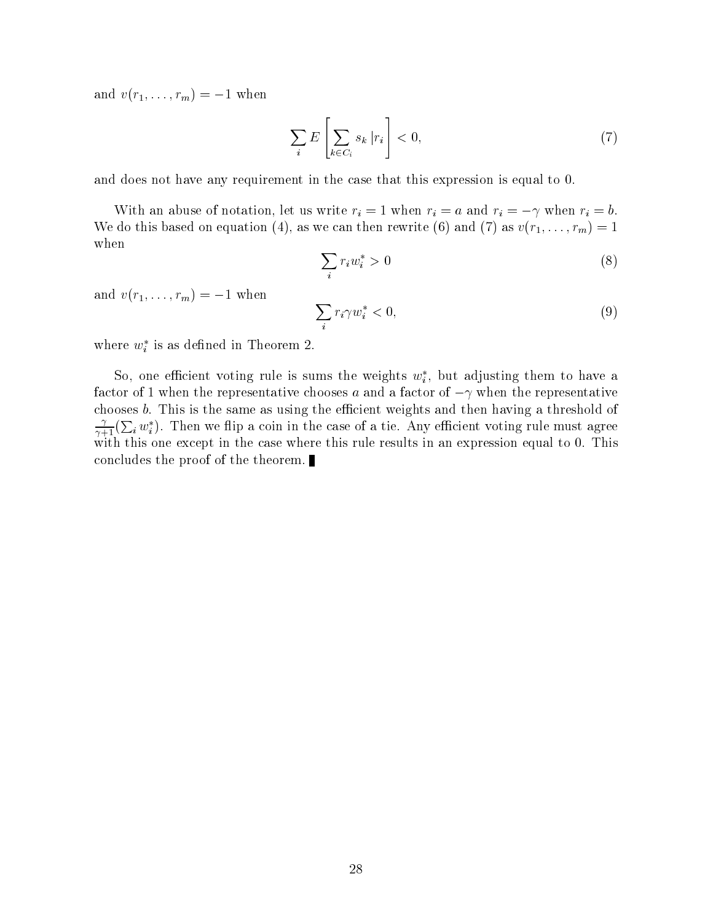and  $v(r_1,\ldots,r_m) = -1$  when

$$
\sum_{i} E\left[\sum_{k \in C_i} s_k | r_i\right] < 0,\tag{7}
$$

and does not have any requirement in the case that this expression is equal to 0.

With an abuse of notation, let us write  $r_i = 1$  when  $r_i = a$  and  $r_i = -\gamma$  when  $r_i = b$ . We do this based on equation (4), as we can then rewrite (6) and (7) as  $v(r_1,\ldots,r_m)=1$ when

$$
\sum_{i} r_i w_i^* > 0 \tag{8}
$$

and  $v(r_1,\ldots,r_m) = -1$  when

$$
\sum_{i} r_i \gamma w_i^* < 0,\tag{9}
$$

where  $w_i$  is as defined in Theorem 2.

50, one emclent voting rule is sums the weights  $w_i$ , but adjusting them to have a factor of 1 when the representative chooses a and a factor of  $-\gamma$  when the representative chooses  $b$ . This is the same as using the efficient weights and then having a threshold of  $\frac{\gamma}{\gamma+1}(\sum_i w_i^*)$ . Then we flip a coin in the case of a tie. Any efficient voting rule must agree with this one except in the case where this rule results in an expression equal to 0. This concludes the proof of the theorem.